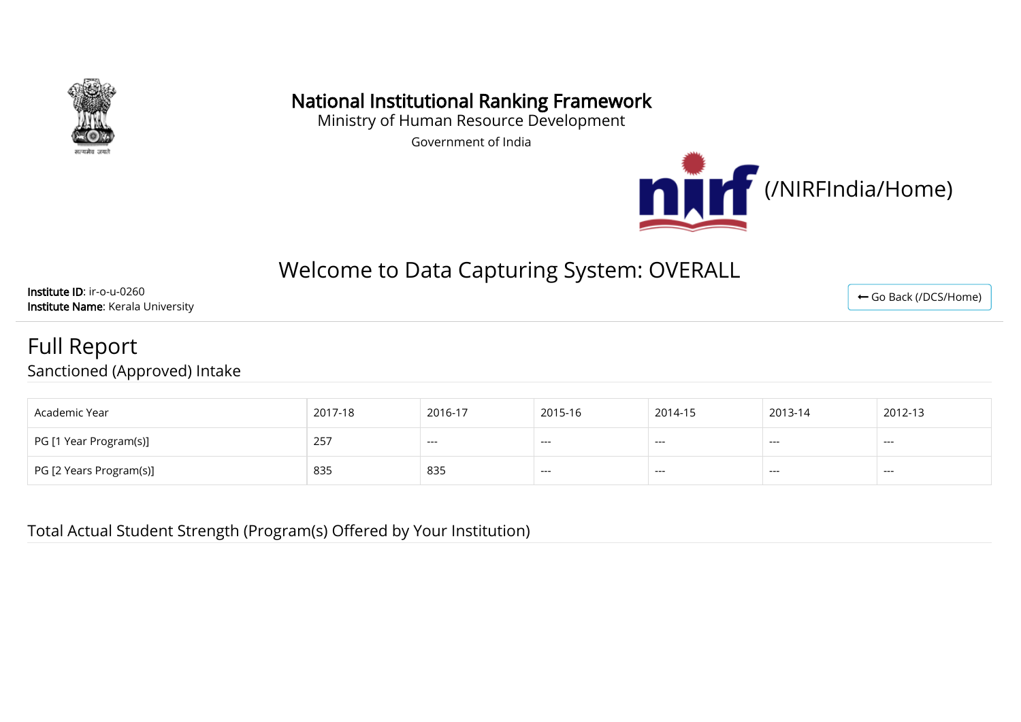

# National Institutional Ranking Framework

Ministry of Human Resource Development

Government of India



# Welcome to Data Capturing System: OVERALL

Institute ID: ir-o-u-0260 Institute Name: Kerala University

### Full Report Sanctioned (Approved) Intake

| Academic Year           | 2017-18 | 2016-17 | 2015-16 | 2014-15 | 2013-14 | 2012-13 |
|-------------------------|---------|---------|---------|---------|---------|---------|
| PG [1 Year Program(s)]  | 257     | $---$   | $--$    | $---$   | ---     | $--$    |
| PG [2 Years Program(s)] | 835     | 835     | $---$   | $---$   | ---     | $--$    |

Total Actual Student Strength (Program(s) Offered by Your Institution)

← [Go Back \(/DCS/Home\)](http://login.nirfindia.org/DCS/Home)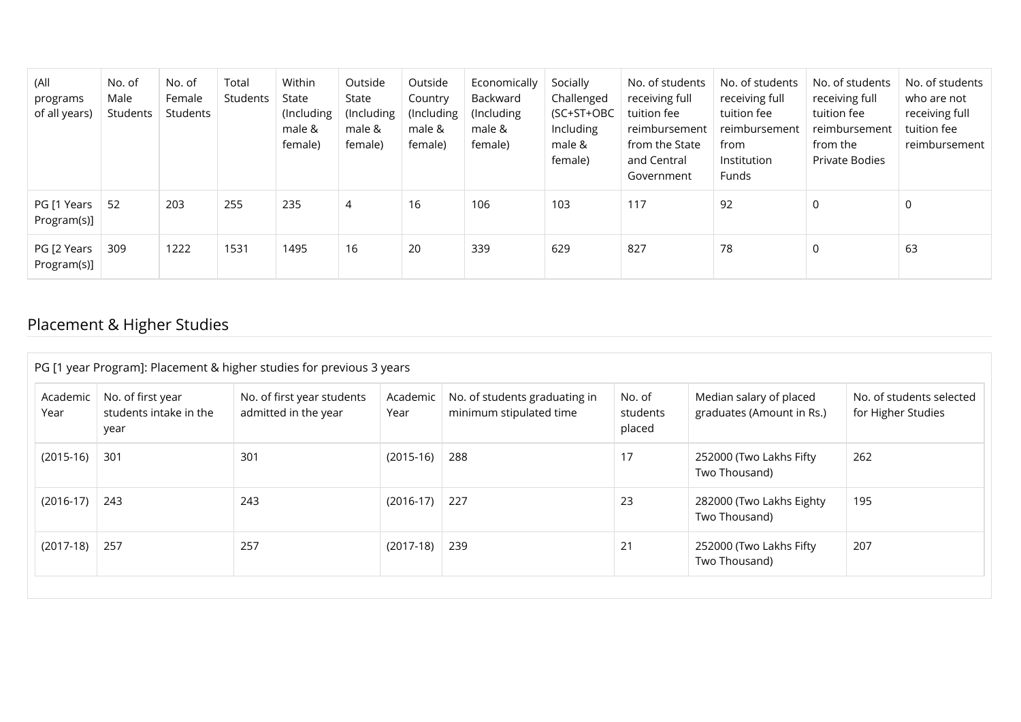| (All<br>programs<br>of all years) | No. of<br>Male<br>Students | No. of<br>Female<br>Students | Total<br>Students | Within<br>State<br>(Including<br>male &<br>female) | Outside<br>State<br>(Including<br>male &<br>female) | Outside<br>Country<br>(Including<br>male &<br>female) | Economically<br>Backward<br>(Including<br>male &<br>female) | Socially<br>Challenged<br>(SC+ST+OBC<br><b>Including</b><br>male &<br>female) | No. of students<br>receiving full<br>tuition fee<br>reimbursement<br>from the State<br>and Central<br>Government | No. of students<br>receiving full<br>tuition fee<br>reimbursement<br>from<br>Institution<br>Funds | No. of students<br>receiving full<br>tuition fee<br>reimbursement<br>from the<br>Private Bodies | No. of students<br>who are not<br>receiving full<br>tuition fee<br>reimbursement |
|-----------------------------------|----------------------------|------------------------------|-------------------|----------------------------------------------------|-----------------------------------------------------|-------------------------------------------------------|-------------------------------------------------------------|-------------------------------------------------------------------------------|------------------------------------------------------------------------------------------------------------------|---------------------------------------------------------------------------------------------------|-------------------------------------------------------------------------------------------------|----------------------------------------------------------------------------------|
| PG [1 Years<br>Program(s)]        | 52                         | 203                          | 255               | 235                                                | 4                                                   | 16                                                    | 106                                                         | 103                                                                           | 117                                                                                                              | 92                                                                                                | 0                                                                                               | 0                                                                                |
| PG [2 Years<br>Program(s)]        | 309                        | 1222                         | 1531              | 1495                                               | 16                                                  | 20                                                    | 339                                                         | 629                                                                           | 827                                                                                                              | 78                                                                                                | 0                                                                                               | 63                                                                               |

# Placement & Higher Studies

|                  | PG [1 year Program]: Placement & higher studies for previous 3 years |                                                    |                  |                                                          |                              |                                                      |                                                |  |
|------------------|----------------------------------------------------------------------|----------------------------------------------------|------------------|----------------------------------------------------------|------------------------------|------------------------------------------------------|------------------------------------------------|--|
| Academic<br>Year | No. of first year<br>students intake in the<br>year                  | No. of first year students<br>admitted in the year | Academic<br>Year | No. of students graduating in<br>minimum stipulated time | No. of<br>students<br>placed | Median salary of placed<br>graduates (Amount in Rs.) | No. of students selected<br>for Higher Studies |  |
| $(2015-16)$      | 301                                                                  | 301                                                | $(2015-16)$      | 288                                                      | 17                           | 252000 (Two Lakhs Fifty<br>Two Thousand)             | 262                                            |  |
| $(2016-17)$      | 243                                                                  | 243                                                | $(2016-17)$      | 227                                                      | 23                           | 282000 (Two Lakhs Eighty<br>Two Thousand)            | 195                                            |  |
| $(2017-18)$      | 257                                                                  | 257                                                | $(2017-18)$      | 239                                                      | 21                           | 252000 (Two Lakhs Fifty<br>Two Thousand)             | 207                                            |  |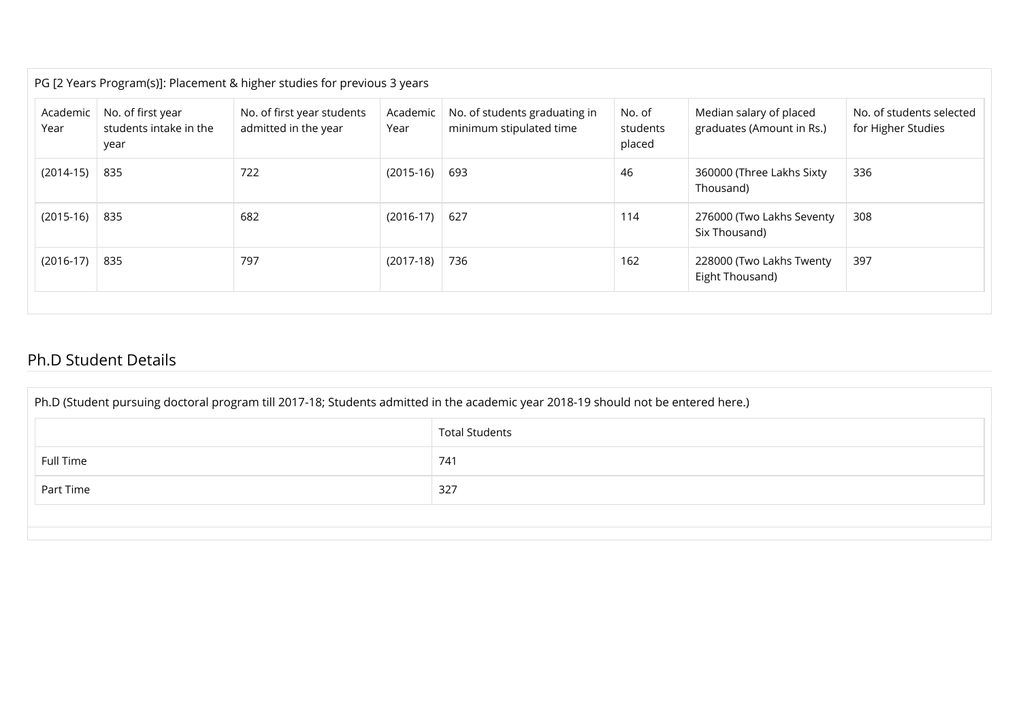|                  |                                                     | PG [2 Years Program(s)]: Placement & higher studies for previous 3 years |                  |                                                          |                              |                                                      |                                                |
|------------------|-----------------------------------------------------|--------------------------------------------------------------------------|------------------|----------------------------------------------------------|------------------------------|------------------------------------------------------|------------------------------------------------|
| Academic<br>Year | No. of first year<br>students intake in the<br>year | No. of first year students<br>admitted in the year                       | Academic<br>Year | No. of students graduating in<br>minimum stipulated time | No. of<br>students<br>placed | Median salary of placed<br>graduates (Amount in Rs.) | No. of students selected<br>for Higher Studies |
| $(2014-15)$      | 835                                                 | 722                                                                      | $(2015-16)$      | 693                                                      | 46                           | 360000 (Three Lakhs Sixty<br>Thousand)               | 336                                            |
| $(2015-16)$      | 835                                                 | 682                                                                      | $(2016-17)$      | 627                                                      | 114                          | 276000 (Two Lakhs Seventy<br>Six Thousand)           | 308                                            |
| $(2016-17)$      | 835                                                 | 797                                                                      | $(2017-18)$      | 736                                                      | 162                          | 228000 (Two Lakhs Twenty<br>Eight Thousand)          | 397                                            |

#### Ph.D Student Details

| Ph.D (Student pursuing doctoral program till 2017-18; Students admitted in the academic year 2018-19 should not be entered here.) |     |  |  |  |  |
|-----------------------------------------------------------------------------------------------------------------------------------|-----|--|--|--|--|
| <b>Total Students</b>                                                                                                             |     |  |  |  |  |
| Full Time                                                                                                                         | 741 |  |  |  |  |
| Part Time                                                                                                                         | 327 |  |  |  |  |
|                                                                                                                                   |     |  |  |  |  |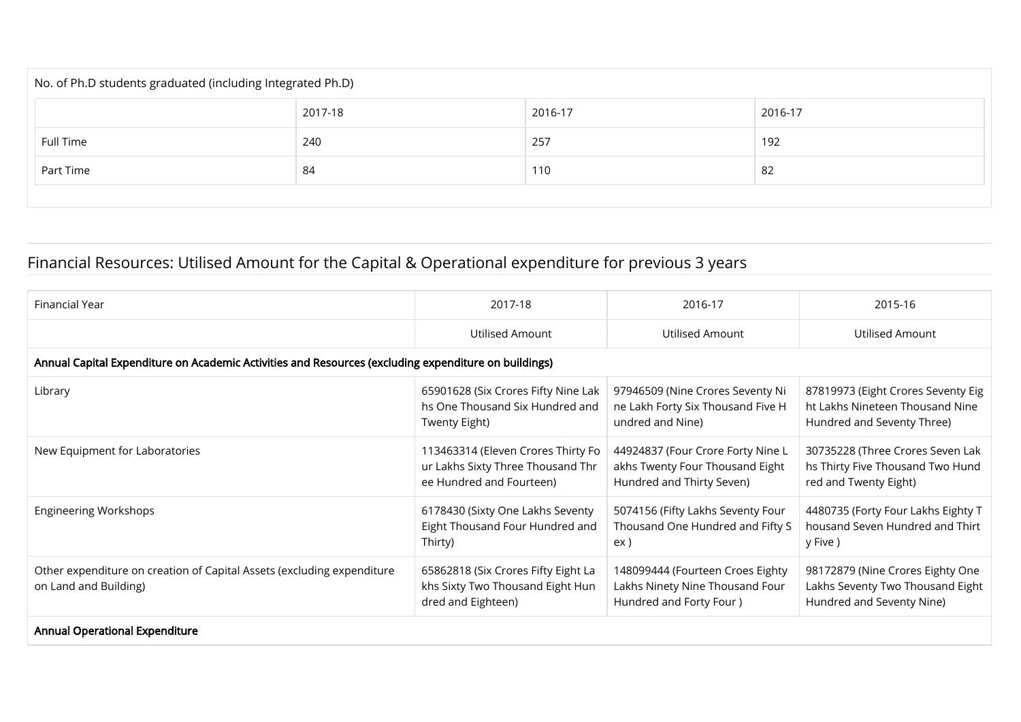| No. of Ph.D students graduated (including Integrated Ph.D) |         |         |         |  |  |  |  |
|------------------------------------------------------------|---------|---------|---------|--|--|--|--|
|                                                            | 2017-18 | 2016-17 | 2016-17 |  |  |  |  |
| Full Time                                                  | 240     | 257     | 192     |  |  |  |  |
| Part Time                                                  | 84      | 110     | 82      |  |  |  |  |
|                                                            |         |         |         |  |  |  |  |

# Financial Resources: Utilised Amount for the Capital & Operational expenditure for previous 3 years

| Financial Year                                                                                       | 2017-18                                                                                             | 2016-17                                                                                           | 2015-16                                                                                             |
|------------------------------------------------------------------------------------------------------|-----------------------------------------------------------------------------------------------------|---------------------------------------------------------------------------------------------------|-----------------------------------------------------------------------------------------------------|
|                                                                                                      | <b>Utilised Amount</b>                                                                              | Utilised Amount                                                                                   | Utilised Amount                                                                                     |
| Annual Capital Expenditure on Academic Activities and Resources (excluding expenditure on buildings) |                                                                                                     |                                                                                                   |                                                                                                     |
| Library                                                                                              | 65901628 (Six Crores Fifty Nine Lak<br>hs One Thousand Six Hundred and<br>Twenty Eight)             | 97946509 (Nine Crores Seventy Ni<br>ne Lakh Forty Six Thousand Five H<br>undred and Nine)         | 87819973 (Eight Crores Seventy Eig<br>ht Lakhs Nineteen Thousand Nine<br>Hundred and Seventy Three) |
| New Equipment for Laboratories                                                                       | 113463314 (Eleven Crores Thirty Fo<br>ur Lakhs Sixty Three Thousand Thr<br>ee Hundred and Fourteen) | 44924837 (Four Crore Forty Nine L<br>akhs Twenty Four Thousand Eight<br>Hundred and Thirty Seven) | 30735228 (Three Crores Seven Lak<br>hs Thirty Five Thousand Two Hund<br>red and Twenty Eight)       |
| <b>Engineering Workshops</b>                                                                         | 6178430 (Sixty One Lakhs Seventy<br>Eight Thousand Four Hundred and<br>Thirty)                      | 5074156 (Fifty Lakhs Seventy Four<br>Thousand One Hundred and Fifty S<br>ex)                      | 4480735 (Forty Four Lakhs Eighty T<br>housand Seven Hundred and Thirt<br>y Five )                   |
| Other expenditure on creation of Capital Assets (excluding expenditure<br>on Land and Building)      | 65862818 (Six Crores Fifty Eight La<br>khs Sixty Two Thousand Eight Hun<br>dred and Eighteen)       | 148099444 (Fourteen Croes Eighty<br>Lakhs Ninety Nine Thousand Four<br>Hundred and Forty Four)    | 98172879 (Nine Crores Eighty One<br>Lakhs Seventy Two Thousand Eight<br>Hundred and Seventy Nine)   |
| <b>Annual Operational Expenditure</b>                                                                |                                                                                                     |                                                                                                   |                                                                                                     |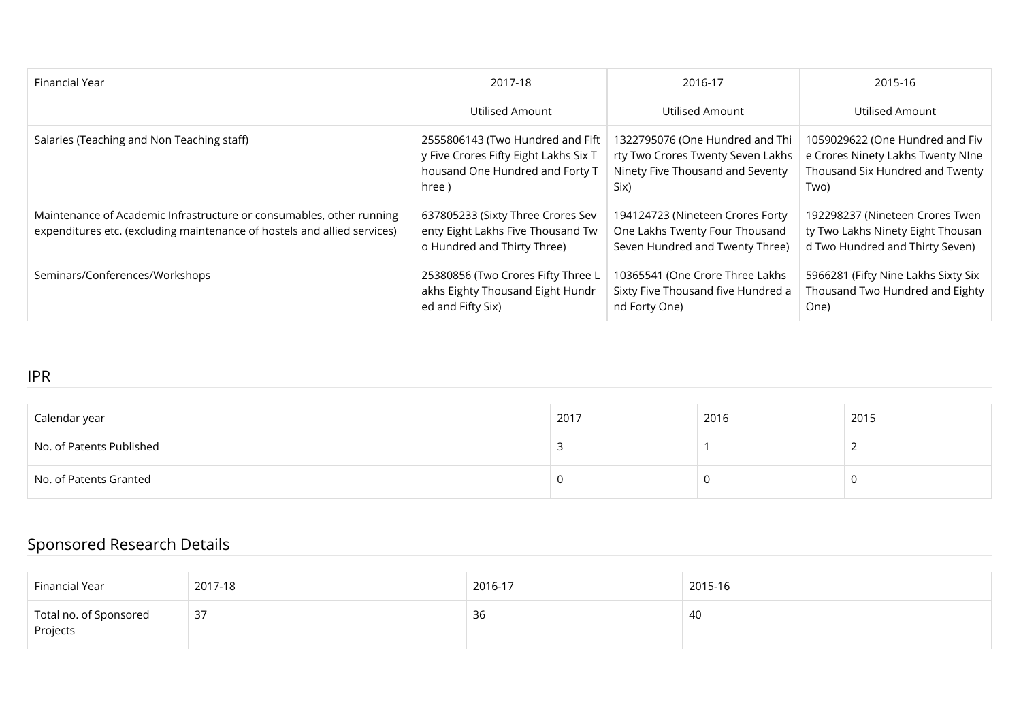| Financial Year                                                                                                                                   | 2017-18                                                                                                               | 2016-17                                                                                                          | 2015-16                                                                                                         |
|--------------------------------------------------------------------------------------------------------------------------------------------------|-----------------------------------------------------------------------------------------------------------------------|------------------------------------------------------------------------------------------------------------------|-----------------------------------------------------------------------------------------------------------------|
|                                                                                                                                                  | Utilised Amount                                                                                                       | Utilised Amount                                                                                                  | Utilised Amount                                                                                                 |
| Salaries (Teaching and Non Teaching staff)                                                                                                       | 2555806143 (Two Hundred and Fift<br>y Five Crores Fifty Eight Lakhs Six T<br>housand One Hundred and Forty T<br>hree) | 1322795076 (One Hundred and Thi<br>rty Two Crores Twenty Seven Lakhs<br>Ninety Five Thousand and Seventy<br>Six) | 1059029622 (One Hundred and Fiv<br>e Crores Ninety Lakhs Twenty NIne<br>Thousand Six Hundred and Twenty<br>Two) |
| Maintenance of Academic Infrastructure or consumables, other running<br>expenditures etc. (excluding maintenance of hostels and allied services) | 637805233 (Sixty Three Crores Sev<br>enty Eight Lakhs Five Thousand Tw<br>o Hundred and Thirty Three)                 | 194124723 (Nineteen Crores Forty<br>One Lakhs Twenty Four Thousand<br>Seven Hundred and Twenty Three)            | 192298237 (Nineteen Crores Twen<br>ty Two Lakhs Ninety Eight Thousan<br>d Two Hundred and Thirty Seven)         |
| Seminars/Conferences/Workshops                                                                                                                   | 25380856 (Two Crores Fifty Three L<br>akhs Eighty Thousand Eight Hundr<br>ed and Fifty Six)                           | 10365541 (One Crore Three Lakhs<br>Sixty Five Thousand five Hundred a<br>nd Forty One)                           | 5966281 (Fifty Nine Lakhs Sixty Six<br>Thousand Two Hundred and Eighty<br>One)                                  |

#### IPR

| Calendar year            | 2017 | 2016 | 2015 |
|--------------------------|------|------|------|
| No. of Patents Published |      |      |      |
| No. of Patents Granted   |      |      |      |

# Sponsored Research Details

| Financial Year                                       | 2017-18 | 2016-17 | 2015-16 |
|------------------------------------------------------|---------|---------|---------|
| $^\shortparallel$ Total no. of Sponsored<br>Projects | 37      | 36      | -40     |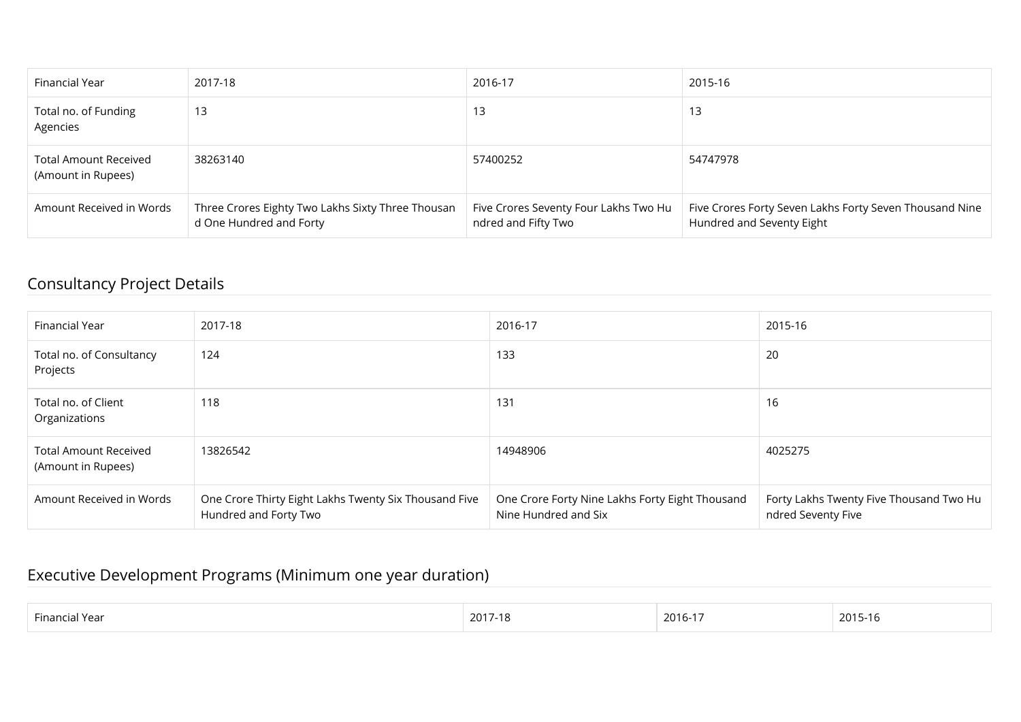| Financial Year                                     | 2017-18                                                                      | 2016-17                                                      | 2015-16                                                                              |
|----------------------------------------------------|------------------------------------------------------------------------------|--------------------------------------------------------------|--------------------------------------------------------------------------------------|
| Total no. of Funding<br>Agencies                   | 13                                                                           | 13                                                           | 13                                                                                   |
| <b>Total Amount Received</b><br>(Amount in Rupees) | 38263140                                                                     | 57400252                                                     | 54747978                                                                             |
| Amount Received in Words                           | Three Crores Eighty Two Lakhs Sixty Three Thousan<br>d One Hundred and Forty | Five Crores Seventy Four Lakhs Two Hu<br>ndred and Fifty Two | Five Crores Forty Seven Lakhs Forty Seven Thousand Nine<br>Hundred and Seventy Eight |

### Consultancy Project Details

| Financial Year                                     | 2017-18                                                                        | 2016-17                                                                 | 2015-16                                                       |
|----------------------------------------------------|--------------------------------------------------------------------------------|-------------------------------------------------------------------------|---------------------------------------------------------------|
| Total no. of Consultancy<br>Projects               | 124                                                                            | 133                                                                     | 20                                                            |
| Total no. of Client<br>Organizations               | 118                                                                            | 131                                                                     | 16                                                            |
| <b>Total Amount Received</b><br>(Amount in Rupees) | 13826542                                                                       | 14948906                                                                | 4025275                                                       |
| Amount Received in Words                           | One Crore Thirty Eight Lakhs Twenty Six Thousand Five<br>Hundred and Forty Two | One Crore Forty Nine Lakhs Forty Eight Thousand<br>Nine Hundred and Six | Forty Lakhs Twenty Five Thousand Two Hu<br>ndred Seventy Five |

# Executive Development Programs (Minimum one year duration)

| Fina<br>Year<br>icial | 20′ | 201<br>ו-סו | 2015-16 |
|-----------------------|-----|-------------|---------|
|                       |     |             |         |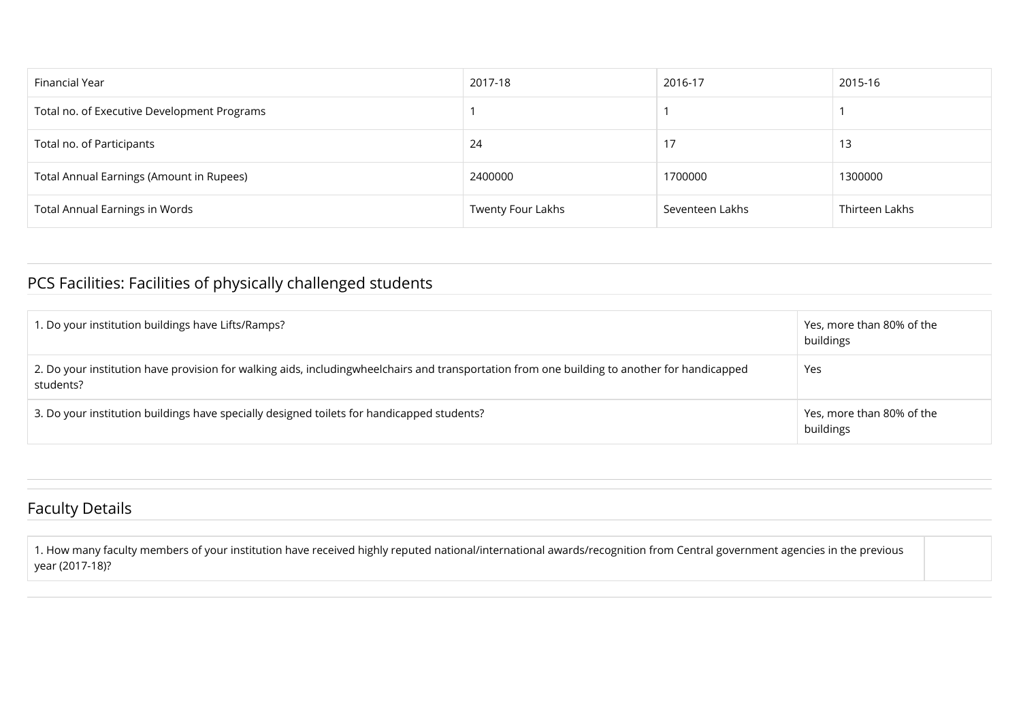| Financial Year                              | 2017-18           | 2016-17         | 2015-16        |
|---------------------------------------------|-------------------|-----------------|----------------|
| Total no. of Executive Development Programs |                   |                 |                |
| Total no. of Participants                   | 24                | 17              | 13             |
| Total Annual Earnings (Amount in Rupees)    | 2400000           | 1700000         | 1300000        |
| <b>Total Annual Earnings in Words</b>       | Twenty Four Lakhs | Seventeen Lakhs | Thirteen Lakhs |

### PCS Facilities: Facilities of physically challenged students

| 1. Do your institution buildings have Lifts/Ramps?                                                                                                        | Yes, more than 80% of the<br>buildings |
|-----------------------------------------------------------------------------------------------------------------------------------------------------------|----------------------------------------|
| 2. Do your institution have provision for walking aids, includingwheelchairs and transportation from one building to another for handicapped<br>students? | Yes                                    |
| 3. Do your institution buildings have specially designed toilets for handicapped students?                                                                | Yes, more than 80% of the<br>buildings |

### Faculty Details

1. How many faculty members of your institution have received highly reputed national/international awards/recognition from Central government agencies in the previous year (2017-18)?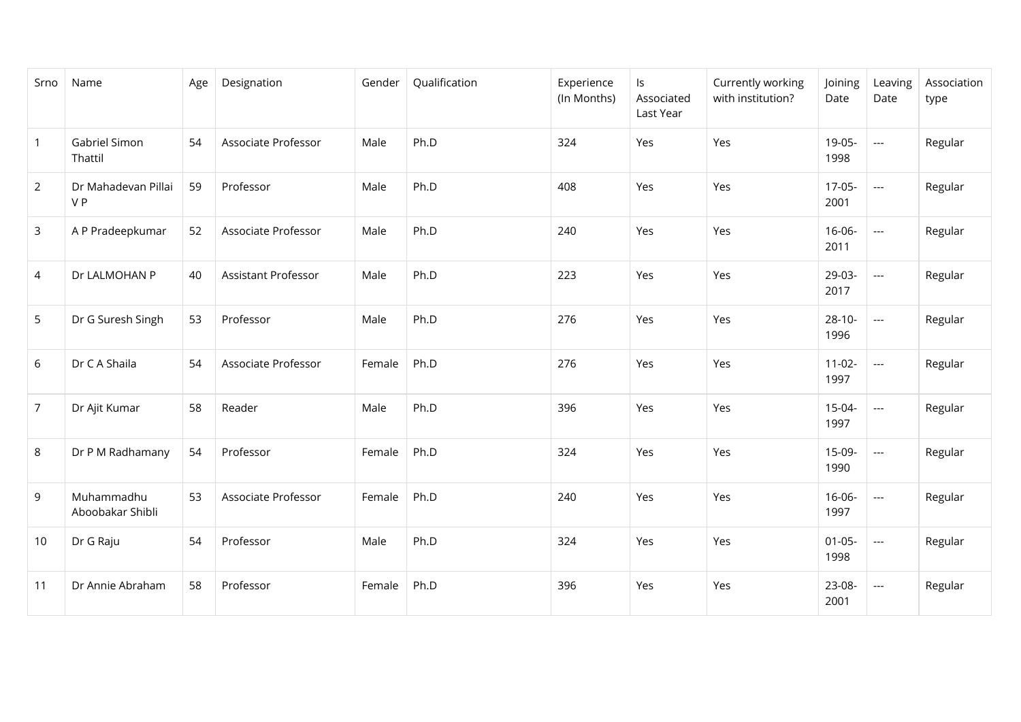| Srno           | Name                           | Age | Designation                | Gender | Qualification | Experience<br>(In Months) | ls<br>Associated<br>Last Year | Currently working<br>with institution? | Joining<br>Date     | Leaving<br>Date          | Association<br>type |
|----------------|--------------------------------|-----|----------------------------|--------|---------------|---------------------------|-------------------------------|----------------------------------------|---------------------|--------------------------|---------------------|
| $\overline{1}$ | Gabriel Simon<br>Thattil       | 54  | Associate Professor        | Male   | Ph.D          | 324                       | Yes                           | Yes                                    | 19-05-<br>1998      | ---                      | Regular             |
| $\overline{2}$ | Dr Mahadevan Pillai<br>VP      | 59  | Professor                  | Male   | Ph.D          | 408                       | Yes                           | Yes                                    | $17-05-$<br>2001    | $\overline{\phantom{a}}$ | Regular             |
| 3              | A P Pradeepkumar               | 52  | Associate Professor        | Male   | Ph.D          | 240                       | Yes                           | Yes                                    | 16-06-<br>2011      | $\cdots$                 | Regular             |
| 4              | Dr LALMOHAN P                  | 40  | <b>Assistant Professor</b> | Male   | Ph.D          | 223                       | Yes                           | Yes                                    | 29-03-<br>2017      | ---                      | Regular             |
| 5              | Dr G Suresh Singh              | 53  | Professor                  | Male   | Ph.D          | 276                       | Yes                           | Yes                                    | $28 - 10 -$<br>1996 | $---$                    | Regular             |
| 6              | Dr C A Shaila                  | 54  | Associate Professor        | Female | Ph.D          | 276                       | Yes                           | Yes                                    | $11-02-$<br>1997    | ---                      | Regular             |
| $\overline{7}$ | Dr Ajit Kumar                  | 58  | Reader                     | Male   | Ph.D          | 396                       | Yes                           | Yes                                    | 15-04-<br>1997      | $---$                    | Regular             |
| 8              | Dr P M Radhamany               | 54  | Professor                  | Female | Ph.D          | 324                       | Yes                           | Yes                                    | 15-09-<br>1990      | $---$                    | Regular             |
| 9              | Muhammadhu<br>Aboobakar Shibli | 53  | Associate Professor        | Female | Ph.D          | 240                       | Yes                           | Yes                                    | $16-06-$<br>1997    | $---$                    | Regular             |
| 10             | Dr G Raju                      | 54  | Professor                  | Male   | Ph.D          | 324                       | Yes                           | Yes                                    | $01 - 05 -$<br>1998 | $---$                    | Regular             |
| 11             | Dr Annie Abraham               | 58  | Professor                  | Female | Ph.D          | 396                       | Yes                           | Yes                                    | 23-08-<br>2001      | $---$                    | Regular             |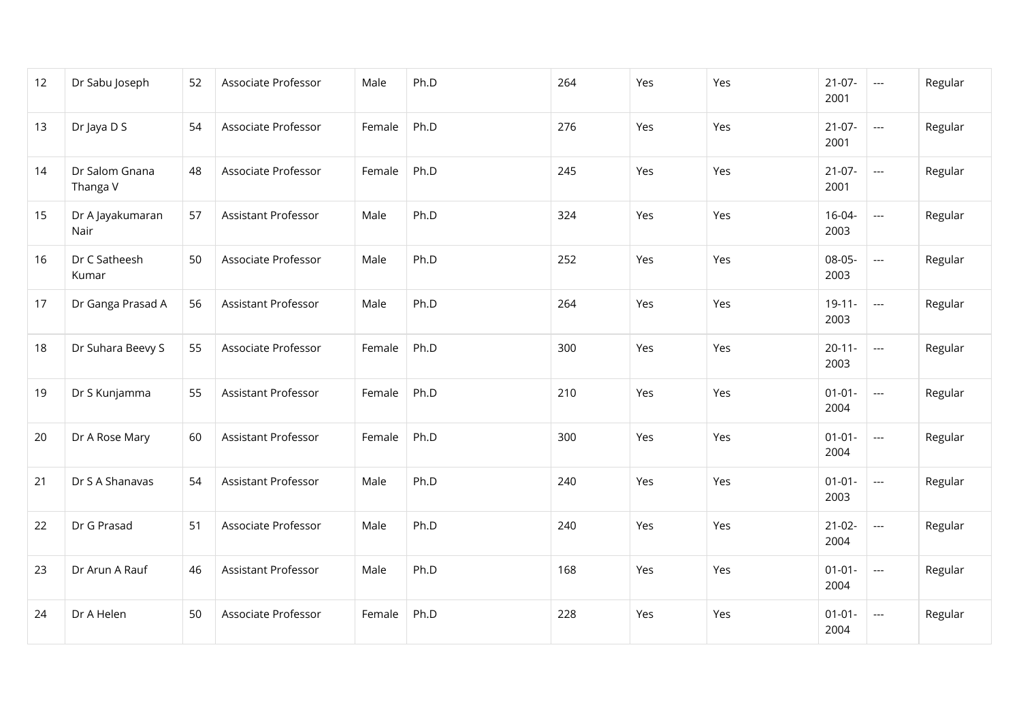| 12 | Dr Sabu Joseph             | 52 | Associate Professor        | Male   | Ph.D | 264 | Yes | Yes | $21-07-$<br>2001    | $\hspace{0.05cm} \ldots$                 | Regular |
|----|----------------------------|----|----------------------------|--------|------|-----|-----|-----|---------------------|------------------------------------------|---------|
| 13 | Dr Jaya D S                | 54 | Associate Professor        | Female | Ph.D | 276 | Yes | Yes | $21-07-$<br>2001    | $\hspace{0.05cm} \ldots \hspace{0.05cm}$ | Regular |
| 14 | Dr Salom Gnana<br>Thanga V | 48 | Associate Professor        | Female | Ph.D | 245 | Yes | Yes | $21-07-$<br>2001    | $\overline{\phantom{a}}$                 | Regular |
| 15 | Dr A Jayakumaran<br>Nair   | 57 | Assistant Professor        | Male   | Ph.D | 324 | Yes | Yes | $16 - 04 -$<br>2003 | $\overline{\phantom{a}}$                 | Regular |
| 16 | Dr C Satheesh<br>Kumar     | 50 | Associate Professor        | Male   | Ph.D | 252 | Yes | Yes | 08-05-<br>2003      | ---                                      | Regular |
| 17 | Dr Ganga Prasad A          | 56 | Assistant Professor        | Male   | Ph.D | 264 | Yes | Yes | $19 - 11 -$<br>2003 | $---$                                    | Regular |
| 18 | Dr Suhara Beevy S          | 55 | Associate Professor        | Female | Ph.D | 300 | Yes | Yes | $20 - 11 -$<br>2003 | $\overline{\phantom{a}}$                 | Regular |
| 19 | Dr S Kunjamma              | 55 | Assistant Professor        | Female | Ph.D | 210 | Yes | Yes | $01 - 01 -$<br>2004 | $\overline{\phantom{a}}$                 | Regular |
| 20 | Dr A Rose Mary             | 60 | Assistant Professor        | Female | Ph.D | 300 | Yes | Yes | $01 - 01 -$<br>2004 | $\hspace{0.05cm} \ldots$                 | Regular |
| 21 | Dr S A Shanavas            | 54 | Assistant Professor        | Male   | Ph.D | 240 | Yes | Yes | $01 - 01 -$<br>2003 | ---                                      | Regular |
| 22 | Dr G Prasad                | 51 | Associate Professor        | Male   | Ph.D | 240 | Yes | Yes | $21-02-$<br>2004    | ---                                      | Regular |
| 23 | Dr Arun A Rauf             | 46 | <b>Assistant Professor</b> | Male   | Ph.D | 168 | Yes | Yes | $01 - 01 -$<br>2004 | $\hspace{0.05cm} \ldots$                 | Regular |
| 24 | Dr A Helen                 | 50 | Associate Professor        | Female | Ph.D | 228 | Yes | Yes | $01 - 01 -$<br>2004 | $\hspace{0.05cm} \ldots$                 | Regular |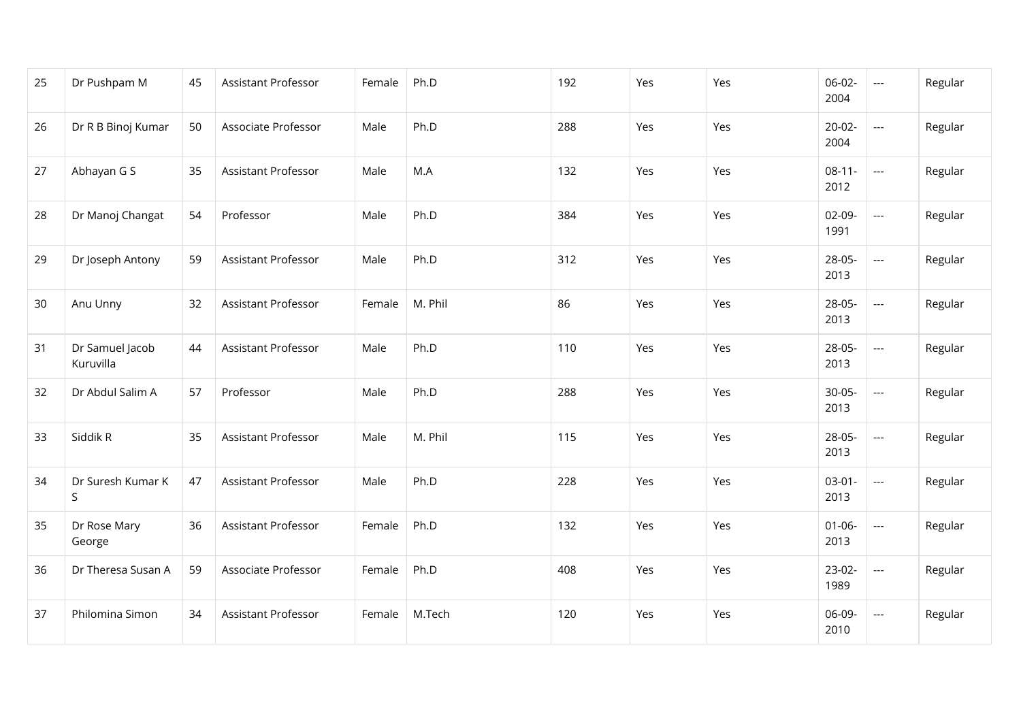| 25 | Dr Pushpam M                 | 45 | Assistant Professor | Female | Ph.D    | 192 | Yes | Yes | $06-02-$<br>2004    | $\overline{\phantom{a}}$ | Regular |
|----|------------------------------|----|---------------------|--------|---------|-----|-----|-----|---------------------|--------------------------|---------|
| 26 | Dr R B Binoj Kumar           | 50 | Associate Professor | Male   | Ph.D    | 288 | Yes | Yes | $20 - 02 -$<br>2004 | $---$                    | Regular |
| 27 | Abhayan G S                  | 35 | Assistant Professor | Male   | M.A     | 132 | Yes | Yes | $08 - 11 -$<br>2012 | ---                      | Regular |
| 28 | Dr Manoj Changat             | 54 | Professor           | Male   | Ph.D    | 384 | Yes | Yes | $02-09-$<br>1991    | $---$                    | Regular |
| 29 | Dr Joseph Antony             | 59 | Assistant Professor | Male   | Ph.D    | 312 | Yes | Yes | 28-05-<br>2013      | $\overline{\phantom{a}}$ | Regular |
| 30 | Anu Unny                     | 32 | Assistant Professor | Female | M. Phil | 86  | Yes | Yes | 28-05-<br>2013      | ---                      | Regular |
| 31 | Dr Samuel Jacob<br>Kuruvilla | 44 | Assistant Professor | Male   | Ph.D    | 110 | Yes | Yes | 28-05-<br>2013      | ---                      | Regular |
| 32 | Dr Abdul Salim A             | 57 | Professor           | Male   | Ph.D    | 288 | Yes | Yes | $30-05-$<br>2013    | $\overline{\phantom{a}}$ | Regular |
| 33 | Siddik R                     | 35 | Assistant Professor | Male   | M. Phil | 115 | Yes | Yes | 28-05-<br>2013      | $\overline{\phantom{a}}$ | Regular |
| 34 | Dr Suresh Kumar K<br>S       | 47 | Assistant Professor | Male   | Ph.D    | 228 | Yes | Yes | $03-01-$<br>2013    | $\hspace{0.05cm} \ldots$ | Regular |
| 35 | Dr Rose Mary<br>George       | 36 | Assistant Professor | Female | Ph.D    | 132 | Yes | Yes | $01 - 06 -$<br>2013 | $\hspace{0.05cm}\ldots$  | Regular |
| 36 | Dr Theresa Susan A           | 59 | Associate Professor | Female | Ph.D    | 408 | Yes | Yes | $23-02-$<br>1989    | $\overline{\phantom{a}}$ | Regular |
| 37 | Philomina Simon              | 34 | Assistant Professor | Female | M.Tech  | 120 | Yes | Yes | 06-09-<br>2010      | ---                      | Regular |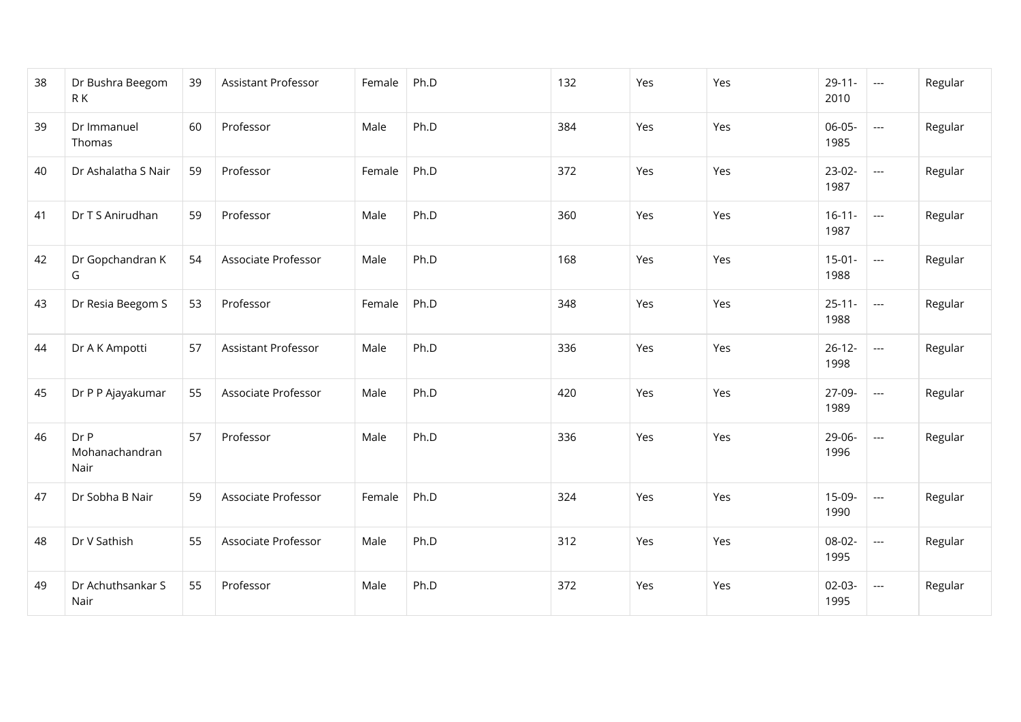| 38 | Dr Bushra Beegom<br>R K        | 39 | Assistant Professor | Female | Ph.D | 132 | Yes | Yes | $29 - 11 -$<br>2010 | $\hspace{0.05cm} \ldots$ | Regular |
|----|--------------------------------|----|---------------------|--------|------|-----|-----|-----|---------------------|--------------------------|---------|
| 39 | Dr Immanuel<br>Thomas          | 60 | Professor           | Male   | Ph.D | 384 | Yes | Yes | 06-05-<br>1985      | ---                      | Regular |
| 40 | Dr Ashalatha S Nair            | 59 | Professor           | Female | Ph.D | 372 | Yes | Yes | $23-02-$<br>1987    | $\overline{\phantom{a}}$ | Regular |
| 41 | Dr T S Anirudhan               | 59 | Professor           | Male   | Ph.D | 360 | Yes | Yes | $16 - 11 -$<br>1987 | $\overline{\phantom{a}}$ | Regular |
| 42 | Dr Gopchandran K<br>G          | 54 | Associate Professor | Male   | Ph.D | 168 | Yes | Yes | $15-01-$<br>1988    | $\overline{\phantom{a}}$ | Regular |
| 43 | Dr Resia Beegom S              | 53 | Professor           | Female | Ph.D | 348 | Yes | Yes | $25 - 11 -$<br>1988 | $\overline{\phantom{a}}$ | Regular |
| 44 | Dr A K Ampotti                 | 57 | Assistant Professor | Male   | Ph.D | 336 | Yes | Yes | $26 - 12 -$<br>1998 | $\overline{\phantom{a}}$ | Regular |
| 45 | Dr P P Ajayakumar              | 55 | Associate Professor | Male   | Ph.D | 420 | Yes | Yes | 27-09-<br>1989      | ---                      | Regular |
| 46 | Dr P<br>Mohanachandran<br>Nair | 57 | Professor           | Male   | Ph.D | 336 | Yes | Yes | 29-06-<br>1996      | ---                      | Regular |
| 47 | Dr Sobha B Nair                | 59 | Associate Professor | Female | Ph.D | 324 | Yes | Yes | 15-09-<br>1990      | $\cdots$                 | Regular |
| 48 | Dr V Sathish                   | 55 | Associate Professor | Male   | Ph.D | 312 | Yes | Yes | 08-02-<br>1995      | $---$                    | Regular |
| 49 | Dr Achuthsankar S<br>Nair      | 55 | Professor           | Male   | Ph.D | 372 | Yes | Yes | $02 - 03 -$<br>1995 | $\cdots$                 | Regular |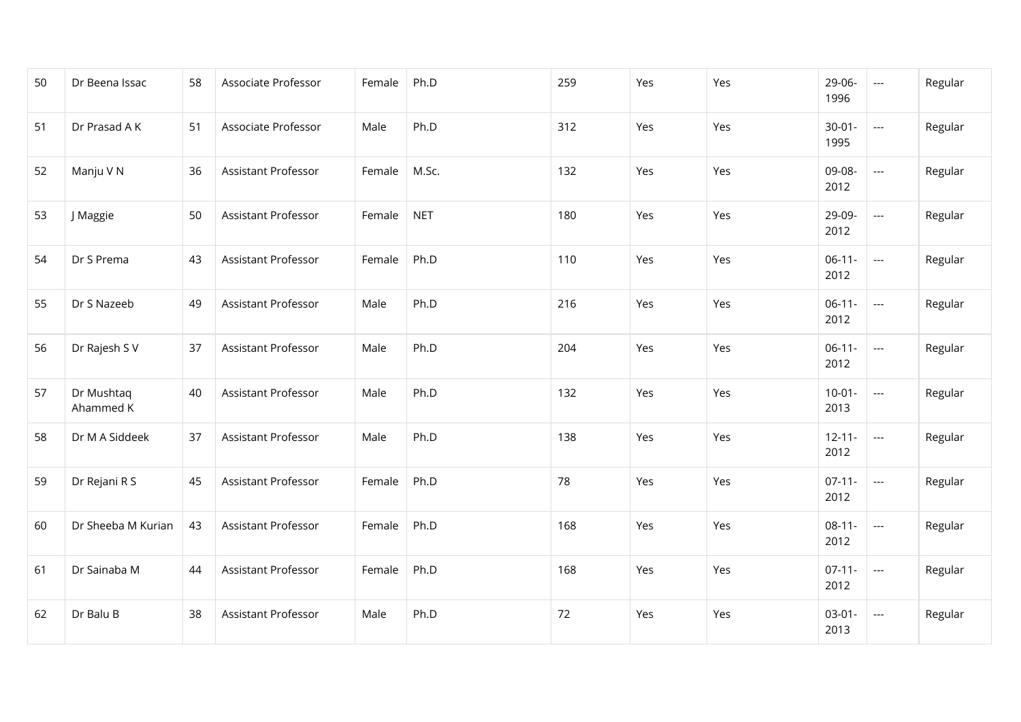| 50 | Dr Beena Issac          | 58 | Associate Professor        | Female | Ph.D       | 259 | Yes | Yes | 29-06-<br>1996      | $---$                    | Regular |
|----|-------------------------|----|----------------------------|--------|------------|-----|-----|-----|---------------------|--------------------------|---------|
| 51 | Dr Prasad A K           | 51 | Associate Professor        | Male   | Ph.D       | 312 | Yes | Yes | $30 - 01 -$<br>1995 | $---$                    | Regular |
| 52 | Manju V N               | 36 | <b>Assistant Professor</b> | Female | M.Sc.      | 132 | Yes | Yes | 09-08-<br>2012      | ---                      | Regular |
| 53 | J Maggie                | 50 | <b>Assistant Professor</b> | Female | <b>NET</b> | 180 | Yes | Yes | 29-09-<br>2012      | ---                      | Regular |
| 54 | Dr S Prema              | 43 | <b>Assistant Professor</b> | Female | Ph.D       | 110 | Yes | Yes | $06-11-$<br>2012    | $\hspace{0.05cm} \ldots$ | Regular |
| 55 | Dr S Nazeeb             | 49 | <b>Assistant Professor</b> | Male   | Ph.D       | 216 | Yes | Yes | $06-11-$<br>2012    | ---                      | Regular |
| 56 | Dr Rajesh S V           | 37 | <b>Assistant Professor</b> | Male   | Ph.D       | 204 | Yes | Yes | $06-11-$<br>2012    | ---                      | Regular |
| 57 | Dr Mushtaq<br>Ahammed K | 40 | <b>Assistant Professor</b> | Male   | Ph.D       | 132 | Yes | Yes | $10-01 -$<br>2013   | $\hspace{0.05cm} \ldots$ | Regular |
| 58 | Dr M A Siddeek          | 37 | Assistant Professor        | Male   | Ph.D       | 138 | Yes | Yes | $12 - 11 -$<br>2012 | $\sim$                   | Regular |
| 59 | Dr Rejani R S           | 45 | <b>Assistant Professor</b> | Female | Ph.D       | 78  | Yes | Yes | $07-11-$<br>2012    | $---$                    | Regular |
| 60 | Dr Sheeba M Kurian      | 43 | Assistant Professor        | Female | Ph.D       | 168 | Yes | Yes | $08-11-$<br>2012    | $\hspace{0.05cm}\ldots$  | Regular |
| 61 | Dr Sainaba M            | 44 | <b>Assistant Professor</b> | Female | Ph.D       | 168 | Yes | Yes | $07 - 11 -$<br>2012 | $\hspace{0.05cm} \ldots$ | Regular |
| 62 | Dr Balu B               | 38 | Assistant Professor        | Male   | Ph.D       | 72  | Yes | Yes | $03-01-$<br>2013    | $---$                    | Regular |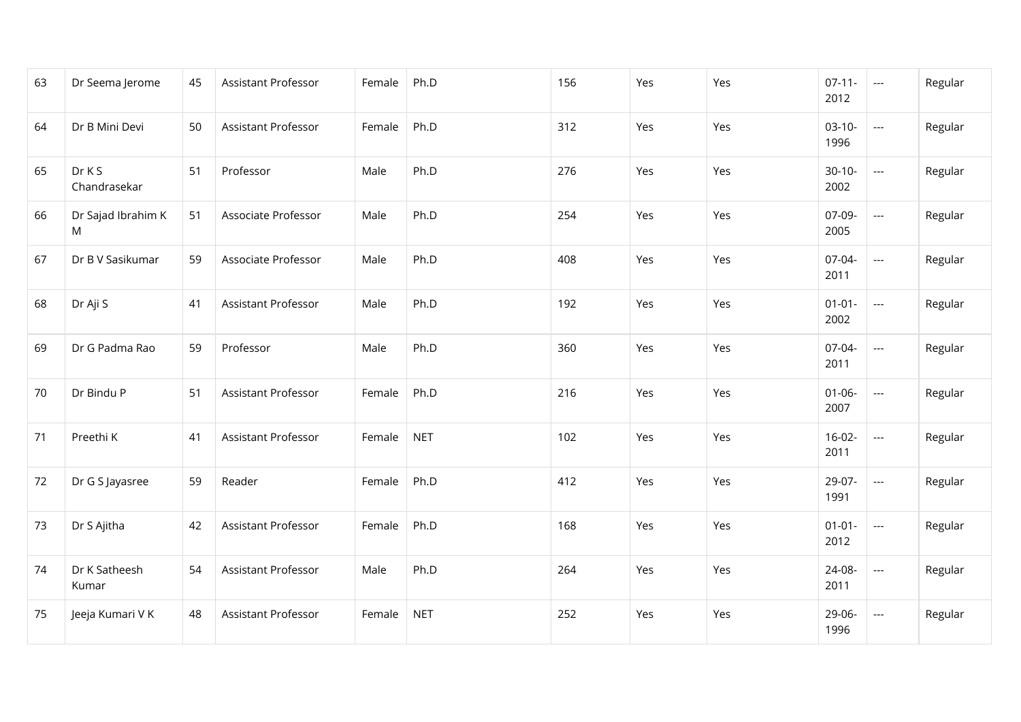| 63 | Dr Seema Jerome         | 45 | <b>Assistant Professor</b> | Female | Ph.D       | 156 | Yes | Yes | $07-11-$<br>2012    | $\sim$                   | Regular |
|----|-------------------------|----|----------------------------|--------|------------|-----|-----|-----|---------------------|--------------------------|---------|
| 64 | Dr B Mini Devi          | 50 | Assistant Professor        | Female | Ph.D       | 312 | Yes | Yes | $03-10-$<br>1996    | $---$                    | Regular |
| 65 | Dr K S<br>Chandrasekar  | 51 | Professor                  | Male   | Ph.D       | 276 | Yes | Yes | $30-10-$<br>2002    | ---                      | Regular |
| 66 | Dr Sajad Ibrahim K<br>M | 51 | Associate Professor        | Male   | Ph.D       | 254 | Yes | Yes | 07-09-<br>2005      | $\overline{\phantom{a}}$ | Regular |
| 67 | Dr B V Sasikumar        | 59 | Associate Professor        | Male   | Ph.D       | 408 | Yes | Yes | 07-04-<br>2011      | $\overline{\phantom{a}}$ | Regular |
| 68 | Dr Aji S                | 41 | Assistant Professor        | Male   | Ph.D       | 192 | Yes | Yes | $01 - 01 -$<br>2002 | ---                      | Regular |
| 69 | Dr G Padma Rao          | 59 | Professor                  | Male   | Ph.D       | 360 | Yes | Yes | 07-04-<br>2011      | $\overline{\phantom{a}}$ | Regular |
| 70 | Dr Bindu P              | 51 | Assistant Professor        | Female | Ph.D       | 216 | Yes | Yes | $01 - 06 -$<br>2007 | $\overline{\phantom{a}}$ | Regular |
| 71 | Preethi K               | 41 | Assistant Professor        | Female | <b>NET</b> | 102 | Yes | Yes | $16-02-$<br>2011    | $\overline{\phantom{a}}$ | Regular |
| 72 | Dr G S Jayasree         | 59 | Reader                     | Female | Ph.D       | 412 | Yes | Yes | 29-07-<br>1991      | $\overline{\phantom{a}}$ | Regular |
| 73 | Dr S Ajitha             | 42 | Assistant Professor        | Female | Ph.D       | 168 | Yes | Yes | $01 - 01 -$<br>2012 | $\overline{\phantom{a}}$ | Regular |
| 74 | Dr K Satheesh<br>Kumar  | 54 | Assistant Professor        | Male   | Ph.D       | 264 | Yes | Yes | 24-08-<br>2011      | $\overline{\phantom{a}}$ | Regular |
| 75 | Jeeja Kumari V K        | 48 | <b>Assistant Professor</b> | Female | <b>NET</b> | 252 | Yes | Yes | 29-06-<br>1996      | $\overline{\phantom{a}}$ | Regular |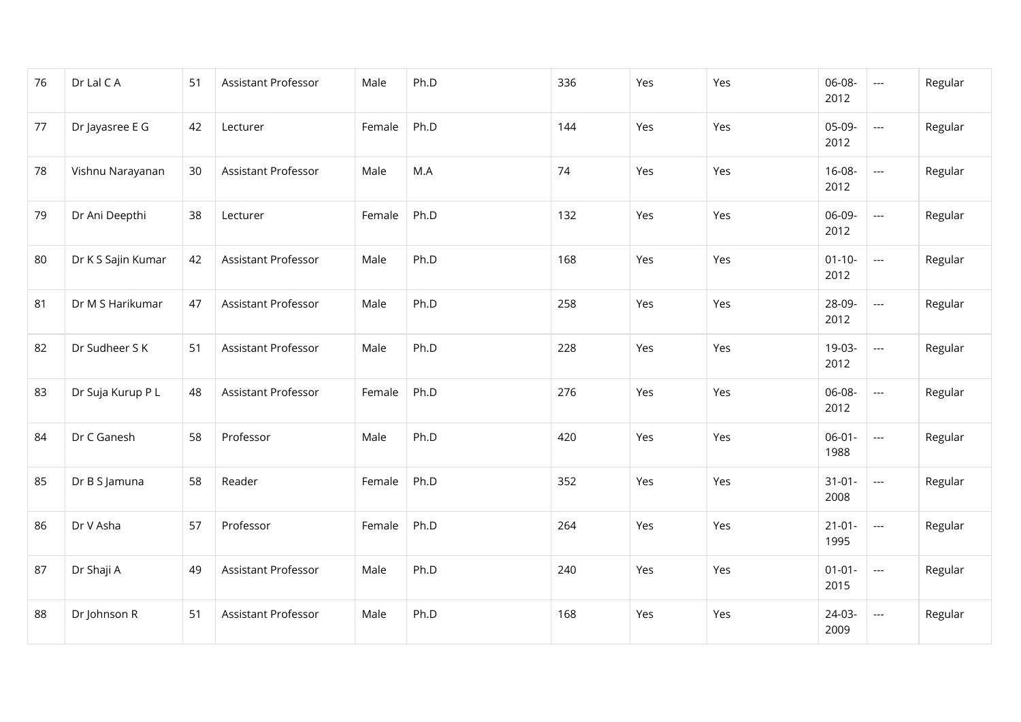| 76 | Dr Lal C A         | 51 | Assistant Professor | Male   | Ph.D | 336 | Yes | Yes | 06-08-<br>2012      | $\overline{\phantom{a}}$ | Regular |
|----|--------------------|----|---------------------|--------|------|-----|-----|-----|---------------------|--------------------------|---------|
| 77 | Dr Jayasree E G    | 42 | Lecturer            | Female | Ph.D | 144 | Yes | Yes | 05-09-<br>2012      | $---$                    | Regular |
| 78 | Vishnu Narayanan   | 30 | Assistant Professor | Male   | M.A  | 74  | Yes | Yes | $16 - 08 -$<br>2012 | ---                      | Regular |
| 79 | Dr Ani Deepthi     | 38 | Lecturer            | Female | Ph.D | 132 | Yes | Yes | 06-09-<br>2012      | $\overline{\phantom{a}}$ | Regular |
| 80 | Dr K S Sajin Kumar | 42 | Assistant Professor | Male   | Ph.D | 168 | Yes | Yes | $01 - 10 -$<br>2012 | $\overline{\phantom{a}}$ | Regular |
| 81 | Dr M S Harikumar   | 47 | Assistant Professor | Male   | Ph.D | 258 | Yes | Yes | 28-09-<br>2012      | ---                      | Regular |
| 82 | Dr Sudheer S K     | 51 | Assistant Professor | Male   | Ph.D | 228 | Yes | Yes | 19-03-<br>2012      | ---                      | Regular |
| 83 | Dr Suja Kurup P L  | 48 | Assistant Professor | Female | Ph.D | 276 | Yes | Yes | 06-08-<br>2012      | $\overline{\phantom{a}}$ | Regular |
| 84 | Dr C Ganesh        | 58 | Professor           | Male   | Ph.D | 420 | Yes | Yes | $06 - 01 -$<br>1988 | $\overline{\phantom{a}}$ | Regular |
| 85 | Dr B S Jamuna      | 58 | Reader              | Female | Ph.D | 352 | Yes | Yes | $31 - 01 -$<br>2008 | $\hspace{0.05cm}\ldots$  | Regular |
| 86 | Dr V Asha          | 57 | Professor           | Female | Ph.D | 264 | Yes | Yes | $21 - 01 -$<br>1995 | $\qquad \qquad - -$      | Regular |
| 87 | Dr Shaji A         | 49 | Assistant Professor | Male   | Ph.D | 240 | Yes | Yes | $01 - 01 -$<br>2015 | $\overline{\phantom{a}}$ | Regular |
| 88 | Dr Johnson R       | 51 | Assistant Professor | Male   | Ph.D | 168 | Yes | Yes | 24-03-<br>2009      | $\hspace{0.05cm}\ldots$  | Regular |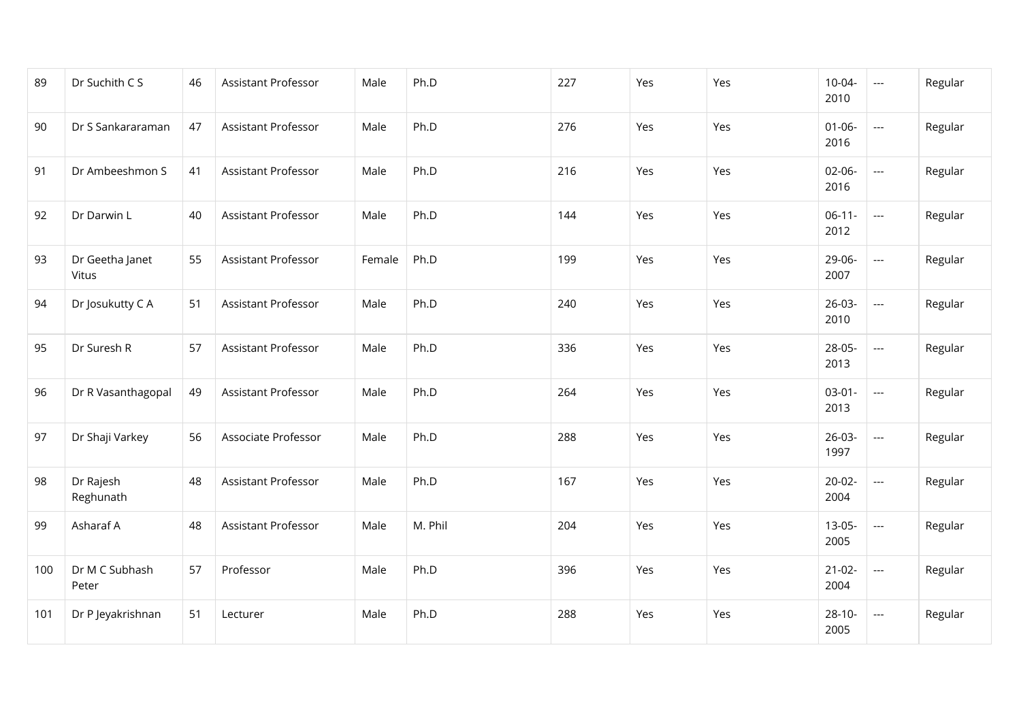| 89  | Dr Suchith C S           | 46 | Assistant Professor | Male   | Ph.D    | 227 | Yes | Yes | 10-04-<br>2010      | $\overline{\phantom{a}}$ | Regular |
|-----|--------------------------|----|---------------------|--------|---------|-----|-----|-----|---------------------|--------------------------|---------|
| 90  | Dr S Sankararaman        | 47 | Assistant Professor | Male   | Ph.D    | 276 | Yes | Yes | $01 - 06 -$<br>2016 | $\overline{\phantom{a}}$ | Regular |
| 91  | Dr Ambeeshmon S          | 41 | Assistant Professor | Male   | Ph.D    | 216 | Yes | Yes | $02-06-$<br>2016    | ---                      | Regular |
| 92  | Dr Darwin L              | 40 | Assistant Professor | Male   | Ph.D    | 144 | Yes | Yes | $06-11-$<br>2012    | $\overline{\phantom{a}}$ | Regular |
| 93  | Dr Geetha Janet<br>Vitus | 55 | Assistant Professor | Female | Ph.D    | 199 | Yes | Yes | 29-06-<br>2007      | $\overline{\phantom{a}}$ | Regular |
| 94  | Dr Josukutty C A         | 51 | Assistant Professor | Male   | Ph.D    | 240 | Yes | Yes | $26-03-$<br>2010    | $\overline{a}$           | Regular |
| 95  | Dr Suresh R              | 57 | Assistant Professor | Male   | Ph.D    | 336 | Yes | Yes | 28-05-<br>2013      | $\overline{\phantom{a}}$ | Regular |
| 96  | Dr R Vasanthagopal       | 49 | Assistant Professor | Male   | Ph.D    | 264 | Yes | Yes | $03-01-$<br>2013    | $\overline{\phantom{a}}$ | Regular |
| 97  | Dr Shaji Varkey          | 56 | Associate Professor | Male   | Ph.D    | 288 | Yes | Yes | $26-03-$<br>1997    | $\hspace{0.05cm} \ldots$ | Regular |
| 98  | Dr Rajesh<br>Reghunath   | 48 | Assistant Professor | Male   | Ph.D    | 167 | Yes | Yes | $20-02-$<br>2004    | ---                      | Regular |
| 99  | Asharaf A                | 48 | Assistant Professor | Male   | M. Phil | 204 | Yes | Yes | $13-05-$<br>2005    | ---                      | Regular |
| 100 | Dr M C Subhash<br>Peter  | 57 | Professor           | Male   | Ph.D    | 396 | Yes | Yes | $21-02-$<br>2004    | ---                      | Regular |
| 101 | Dr P Jeyakrishnan        | 51 | Lecturer            | Male   | Ph.D    | 288 | Yes | Yes | $28-10-$<br>2005    | $\cdots$                 | Regular |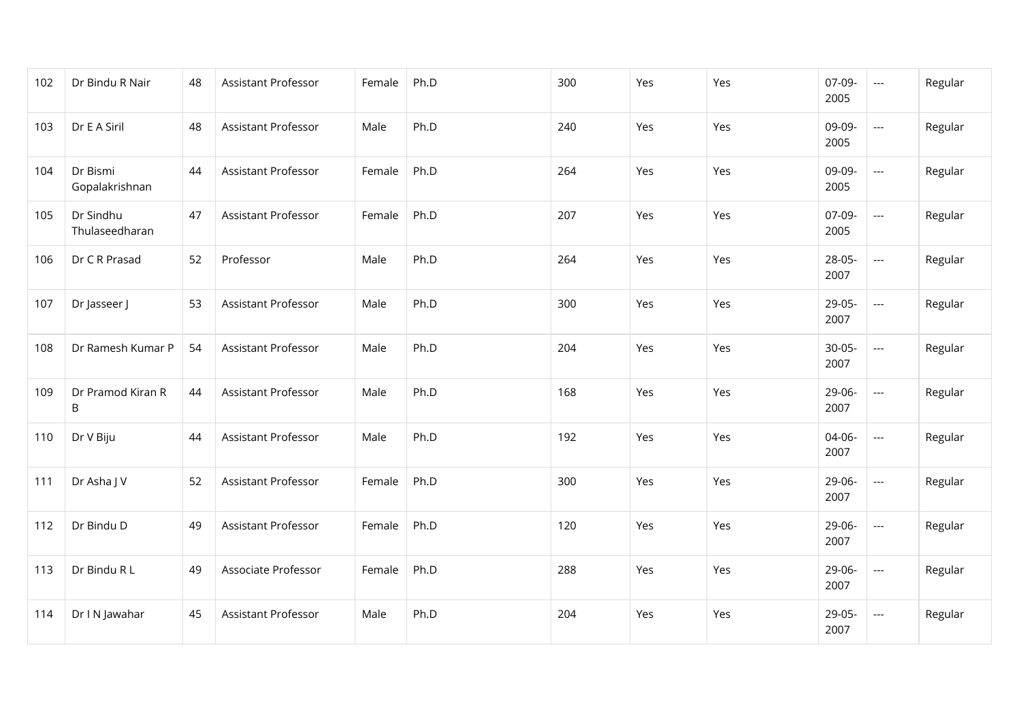| 102 | Dr Bindu R Nair             | 48 | Assistant Professor        | Female | Ph.D | 300 | Yes | Yes | 07-09-<br>2005   | $\hspace{0.05cm} \ldots$ | Regular |
|-----|-----------------------------|----|----------------------------|--------|------|-----|-----|-----|------------------|--------------------------|---------|
| 103 | Dr E A Siril                | 48 | Assistant Professor        | Male   | Ph.D | 240 | Yes | Yes | 09-09-<br>2005   | ---                      | Regular |
| 104 | Dr Bismi<br>Gopalakrishnan  | 44 | Assistant Professor        | Female | Ph.D | 264 | Yes | Yes | 09-09-<br>2005   | ---                      | Regular |
| 105 | Dr Sindhu<br>Thulaseedharan | 47 | Assistant Professor        | Female | Ph.D | 207 | Yes | Yes | 07-09-<br>2005   | ---                      | Regular |
| 106 | Dr C R Prasad               | 52 | Professor                  | Male   | Ph.D | 264 | Yes | Yes | 28-05-<br>2007   | ---                      | Regular |
| 107 | Dr Jasseer J                | 53 | Assistant Professor        | Male   | Ph.D | 300 | Yes | Yes | 29-05-<br>2007   | ---                      | Regular |
| 108 | Dr Ramesh Kumar P           | 54 | <b>Assistant Professor</b> | Male   | Ph.D | 204 | Yes | Yes | $30-05-$<br>2007 | ---                      | Regular |
| 109 | Dr Pramod Kiran R<br>B      | 44 | Assistant Professor        | Male   | Ph.D | 168 | Yes | Yes | 29-06-<br>2007   | ---                      | Regular |
| 110 | Dr V Biju                   | 44 | Assistant Professor        | Male   | Ph.D | 192 | Yes | Yes | 04-06-<br>2007   | $\overline{\phantom{a}}$ | Regular |
| 111 | Dr Asha J V                 | 52 | Assistant Professor        | Female | Ph.D | 300 | Yes | Yes | 29-06-<br>2007   | $---$                    | Regular |
| 112 | Dr Bindu D                  | 49 | Assistant Professor        | Female | Ph.D | 120 | Yes | Yes | 29-06-<br>2007   | $\overline{\phantom{a}}$ | Regular |
| 113 | Dr Bindu R L                | 49 | Associate Professor        | Female | Ph.D | 288 | Yes | Yes | 29-06-<br>2007   | ---                      | Regular |
| 114 | Dr I N Jawahar              | 45 | Assistant Professor        | Male   | Ph.D | 204 | Yes | Yes | 29-05-<br>2007   | ---                      | Regular |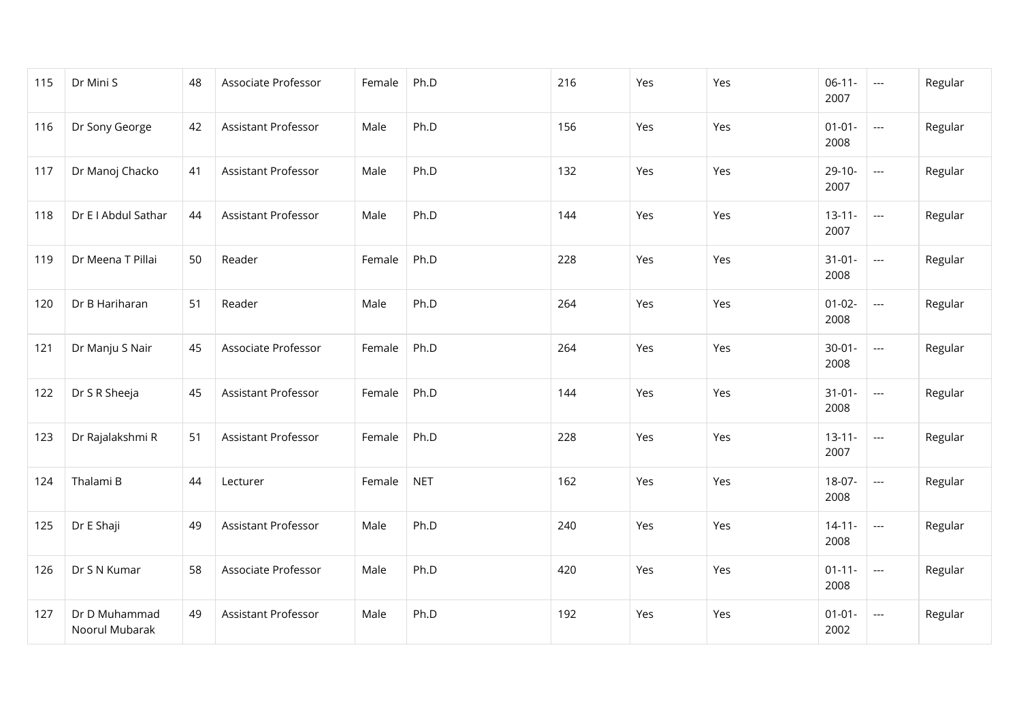| 115 | Dr Mini S                       | 48 | Associate Professor        | Female | Ph.D       | 216 | Yes | Yes | $06-11-$<br>2007    | $\hspace{0.05cm} \ldots$                 | Regular |
|-----|---------------------------------|----|----------------------------|--------|------------|-----|-----|-----|---------------------|------------------------------------------|---------|
| 116 | Dr Sony George                  | 42 | Assistant Professor        | Male   | Ph.D       | 156 | Yes | Yes | $01 - 01 -$<br>2008 | $\hspace{0.05cm} \ldots$                 | Regular |
| 117 | Dr Manoj Chacko                 | 41 | <b>Assistant Professor</b> | Male   | Ph.D       | 132 | Yes | Yes | $29-10-$<br>2007    | ---                                      | Regular |
| 118 | Dr E I Abdul Sathar             | 44 | Assistant Professor        | Male   | Ph.D       | 144 | Yes | Yes | $13 - 11 -$<br>2007 | $\hspace{0.05cm} \ldots \hspace{0.05cm}$ | Regular |
| 119 | Dr Meena T Pillai               | 50 | Reader                     | Female | Ph.D       | 228 | Yes | Yes | $31 - 01 -$<br>2008 | $\overline{\phantom{a}}$                 | Regular |
| 120 | Dr B Hariharan                  | 51 | Reader                     | Male   | Ph.D       | 264 | Yes | Yes | $01 - 02 -$<br>2008 | ---                                      | Regular |
| 121 | Dr Manju S Nair                 | 45 | Associate Professor        | Female | Ph.D       | 264 | Yes | Yes | $30 - 01 -$<br>2008 | $\overline{\phantom{a}}$                 | Regular |
| 122 | Dr S R Sheeja                   | 45 | <b>Assistant Professor</b> | Female | Ph.D       | 144 | Yes | Yes | $31-01-$<br>2008    | ---                                      | Regular |
| 123 | Dr Rajalakshmi R                | 51 | Assistant Professor        | Female | Ph.D       | 228 | Yes | Yes | $13 - 11 -$<br>2007 | $\overline{\phantom{a}}$                 | Regular |
| 124 | Thalami B                       | 44 | Lecturer                   | Female | <b>NET</b> | 162 | Yes | Yes | 18-07-<br>2008      | ---                                      | Regular |
| 125 | Dr E Shaji                      | 49 | Assistant Professor        | Male   | Ph.D       | 240 | Yes | Yes | $14 - 11 -$<br>2008 | ---                                      | Regular |
| 126 | Dr S N Kumar                    | 58 | Associate Professor        | Male   | Ph.D       | 420 | Yes | Yes | $01 - 11 -$<br>2008 | $\hspace{0.05cm} \ldots$                 | Regular |
| 127 | Dr D Muhammad<br>Noorul Mubarak | 49 | Assistant Professor        | Male   | Ph.D       | 192 | Yes | Yes | $01 - 01 -$<br>2002 | $\hspace{0.05cm} \ldots$                 | Regular |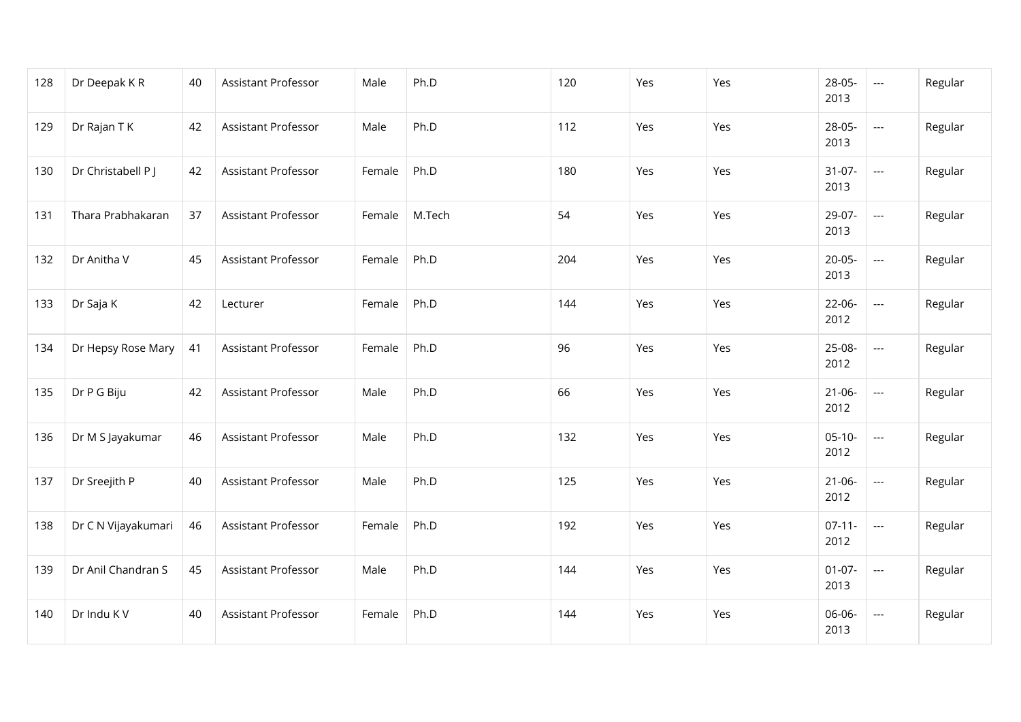| 128 | Dr Deepak KR        | 40 | Assistant Professor        | Male   | Ph.D   | 120 | Yes | Yes | 28-05-<br>2013      | $\hspace{0.05cm} \ldots$ | Regular |
|-----|---------------------|----|----------------------------|--------|--------|-----|-----|-----|---------------------|--------------------------|---------|
| 129 | Dr Rajan T K        | 42 | Assistant Professor        | Male   | Ph.D   | 112 | Yes | Yes | 28-05-<br>2013      | ---                      | Regular |
| 130 | Dr Christabell P J  | 42 | <b>Assistant Professor</b> | Female | Ph.D   | 180 | Yes | Yes | $31-07-$<br>2013    | ---                      | Regular |
| 131 | Thara Prabhakaran   | 37 | Assistant Professor        | Female | M.Tech | 54  | Yes | Yes | 29-07-<br>2013      | $\overline{\phantom{a}}$ | Regular |
| 132 | Dr Anitha V         | 45 | <b>Assistant Professor</b> | Female | Ph.D   | 204 | Yes | Yes | $20 - 05 -$<br>2013 | $\overline{\phantom{a}}$ | Regular |
| 133 | Dr Saja K           | 42 | Lecturer                   | Female | Ph.D   | 144 | Yes | Yes | $22-06-$<br>2012    | ---                      | Regular |
| 134 | Dr Hepsy Rose Mary  | 41 | Assistant Professor        | Female | Ph.D   | 96  | Yes | Yes | 25-08-<br>2012      | $\overline{\phantom{a}}$ | Regular |
| 135 | Dr P G Biju         | 42 | Assistant Professor        | Male   | Ph.D   | 66  | Yes | Yes | $21 - 06 -$<br>2012 | ---                      | Regular |
| 136 | Dr M S Jayakumar    | 46 | Assistant Professor        | Male   | Ph.D   | 132 | Yes | Yes | $05-10-$<br>2012    | $\scriptstyle \cdots$    | Regular |
| 137 | Dr Sreejith P       | 40 | Assistant Professor        | Male   | Ph.D   | 125 | Yes | Yes | $21 - 06 -$<br>2012 | ---                      | Regular |
| 138 | Dr C N Vijayakumari | 46 | Assistant Professor        | Female | Ph.D   | 192 | Yes | Yes | $07-11-$<br>2012    | $\hspace{0.05cm} \ldots$ | Regular |
| 139 | Dr Anil Chandran S  | 45 | Assistant Professor        | Male   | Ph.D   | 144 | Yes | Yes | $01-07-$<br>2013    | ---                      | Regular |
| 140 | Dr Indu KV          | 40 | Assistant Professor        | Female | Ph.D   | 144 | Yes | Yes | 06-06-<br>2013      | ---                      | Regular |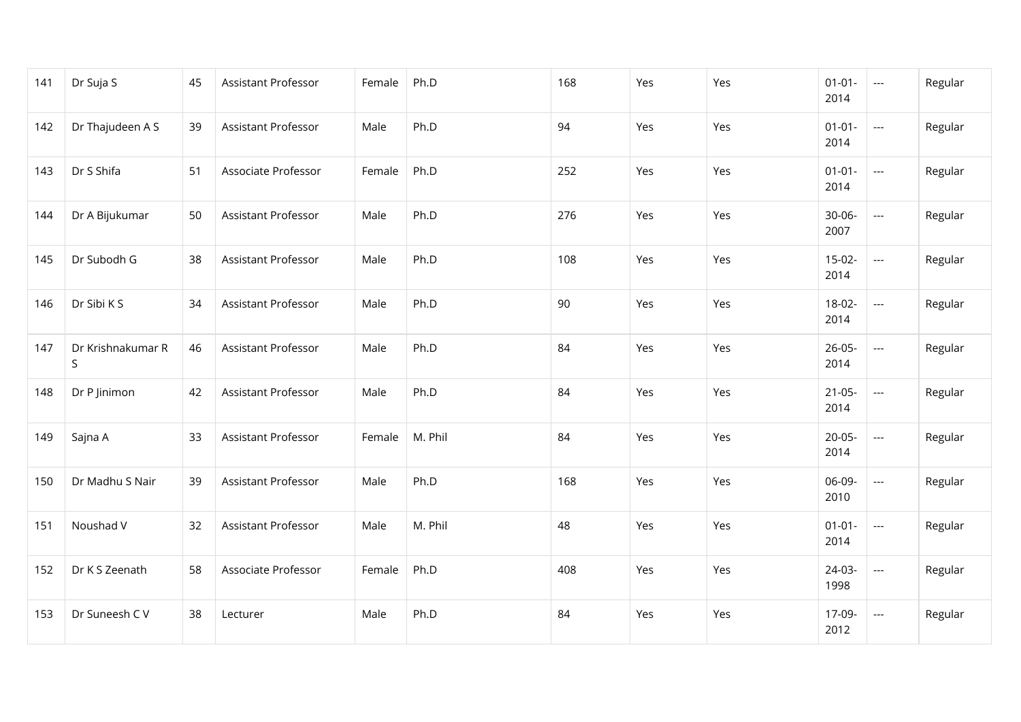| 141 | Dr Suja S              | 45 | Assistant Professor | Female | Ph.D    | 168 | Yes | Yes | $01 - 01 -$<br>2014 | $\sim$                   | Regular |
|-----|------------------------|----|---------------------|--------|---------|-----|-----|-----|---------------------|--------------------------|---------|
| 142 | Dr Thajudeen A S       | 39 | Assistant Professor | Male   | Ph.D    | 94  | Yes | Yes | $01 - 01 -$<br>2014 | $\overline{a}$           | Regular |
| 143 | Dr S Shifa             | 51 | Associate Professor | Female | Ph.D    | 252 | Yes | Yes | $01 - 01 -$<br>2014 | $\hspace{0.05cm} \ldots$ | Regular |
| 144 | Dr A Bijukumar         | 50 | Assistant Professor | Male   | Ph.D    | 276 | Yes | Yes | 30-06-<br>2007      | ---                      | Regular |
| 145 | Dr Subodh G            | 38 | Assistant Professor | Male   | Ph.D    | 108 | Yes | Yes | $15-02-$<br>2014    | ---                      | Regular |
| 146 | Dr Sibi K S            | 34 | Assistant Professor | Male   | Ph.D    | 90  | Yes | Yes | $18-02-$<br>2014    | ---                      | Regular |
| 147 | Dr Krishnakumar R<br>S | 46 | Assistant Professor | Male   | Ph.D    | 84  | Yes | Yes | $26 - 05 -$<br>2014 | ---                      | Regular |
| 148 | Dr P Jinimon           | 42 | Assistant Professor | Male   | Ph.D    | 84  | Yes | Yes | $21-05-$<br>2014    | $\overline{\phantom{a}}$ | Regular |
| 149 | Sajna A                | 33 | Assistant Professor | Female | M. Phil | 84  | Yes | Yes | $20 - 05 -$<br>2014 | $\overline{\phantom{a}}$ | Regular |
| 150 | Dr Madhu S Nair        | 39 | Assistant Professor | Male   | Ph.D    | 168 | Yes | Yes | 06-09-<br>2010      | $---$                    | Regular |
| 151 | Noushad V              | 32 | Assistant Professor | Male   | M. Phil | 48  | Yes | Yes | $01 - 01 -$<br>2014 | $\hspace{0.05cm}\ldots$  | Regular |
| 152 | Dr K S Zeenath         | 58 | Associate Professor | Female | Ph.D    | 408 | Yes | Yes | 24-03-<br>1998      | ---                      | Regular |
| 153 | Dr Suneesh C V         | 38 | Lecturer            | Male   | Ph.D    | 84  | Yes | Yes | 17-09-<br>2012      | $\hspace{0.05cm} \ldots$ | Regular |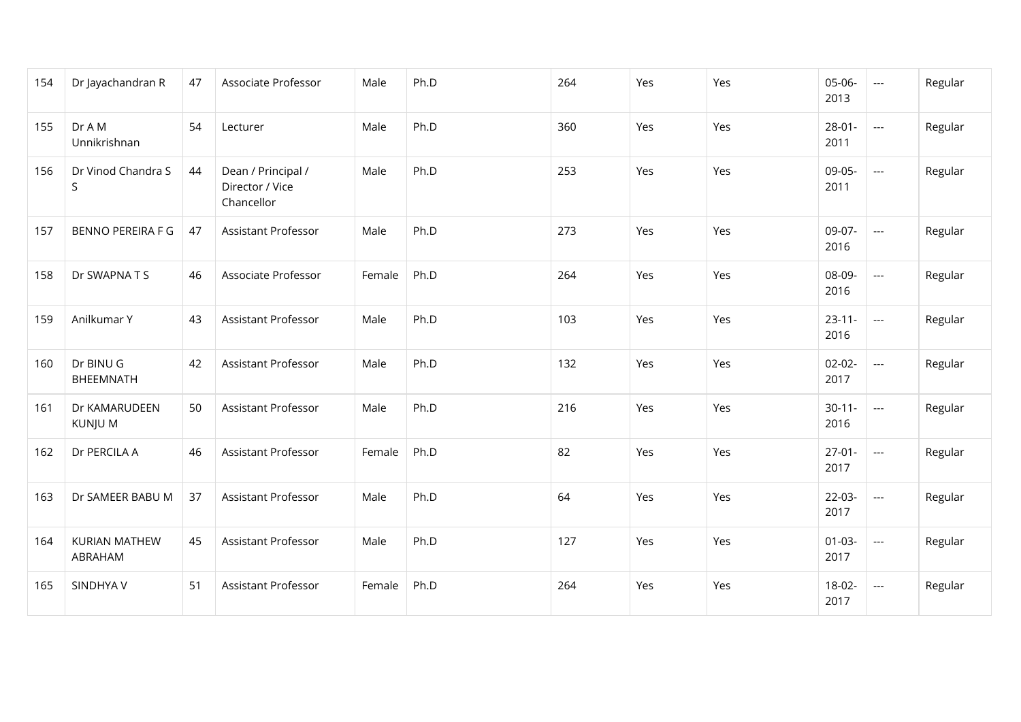| 154 | Dr Jayachandran R               | 47 | Associate Professor                                 | Male   | Ph.D | 264 | Yes | Yes | 05-06-<br>2013      | $\qquad \qquad - -$      | Regular |
|-----|---------------------------------|----|-----------------------------------------------------|--------|------|-----|-----|-----|---------------------|--------------------------|---------|
| 155 | Dr A M<br>Unnikrishnan          | 54 | Lecturer                                            | Male   | Ph.D | 360 | Yes | Yes | $28-01-$<br>2011    | ---                      | Regular |
| 156 | Dr Vinod Chandra S<br>S         | 44 | Dean / Principal /<br>Director / Vice<br>Chancellor | Male   | Ph.D | 253 | Yes | Yes | 09-05-<br>2011      | $\overline{\phantom{a}}$ | Regular |
| 157 | <b>BENNO PEREIRA F G</b>        | 47 | Assistant Professor                                 | Male   | Ph.D | 273 | Yes | Yes | 09-07-<br>2016      | ---                      | Regular |
| 158 | Dr SWAPNATS                     | 46 | Associate Professor                                 | Female | Ph.D | 264 | Yes | Yes | 08-09-<br>2016      | $\qquad \qquad - -$      | Regular |
| 159 | Anilkumar Y                     | 43 | Assistant Professor                                 | Male   | Ph.D | 103 | Yes | Yes | $23 - 11 -$<br>2016 | $\cdots$                 | Regular |
| 160 | Dr BINU G<br>BHEEMNATH          | 42 | Assistant Professor                                 | Male   | Ph.D | 132 | Yes | Yes | $02 - 02 -$<br>2017 | $\hspace{0.05cm} \ldots$ | Regular |
| 161 | Dr KAMARUDEEN<br>KUNJU M        | 50 | Assistant Professor                                 | Male   | Ph.D | 216 | Yes | Yes | $30 - 11 -$<br>2016 | $\cdots$                 | Regular |
| 162 | Dr PERCILA A                    | 46 | Assistant Professor                                 | Female | Ph.D | 82  | Yes | Yes | $27-01-$<br>2017    | $\hspace{0.05cm} \ldots$ | Regular |
| 163 | Dr SAMEER BABU M                | 37 | <b>Assistant Professor</b>                          | Male   | Ph.D | 64  | Yes | Yes | $22-03-$<br>2017    | $\cdots$                 | Regular |
| 164 | <b>KURIAN MATHEW</b><br>ABRAHAM | 45 | Assistant Professor                                 | Male   | Ph.D | 127 | Yes | Yes | $01-03-$<br>2017    | $\cdots$                 | Regular |
| 165 | SINDHYA V                       | 51 | Assistant Professor                                 | Female | Ph.D | 264 | Yes | Yes | 18-02-<br>2017      | $\cdots$                 | Regular |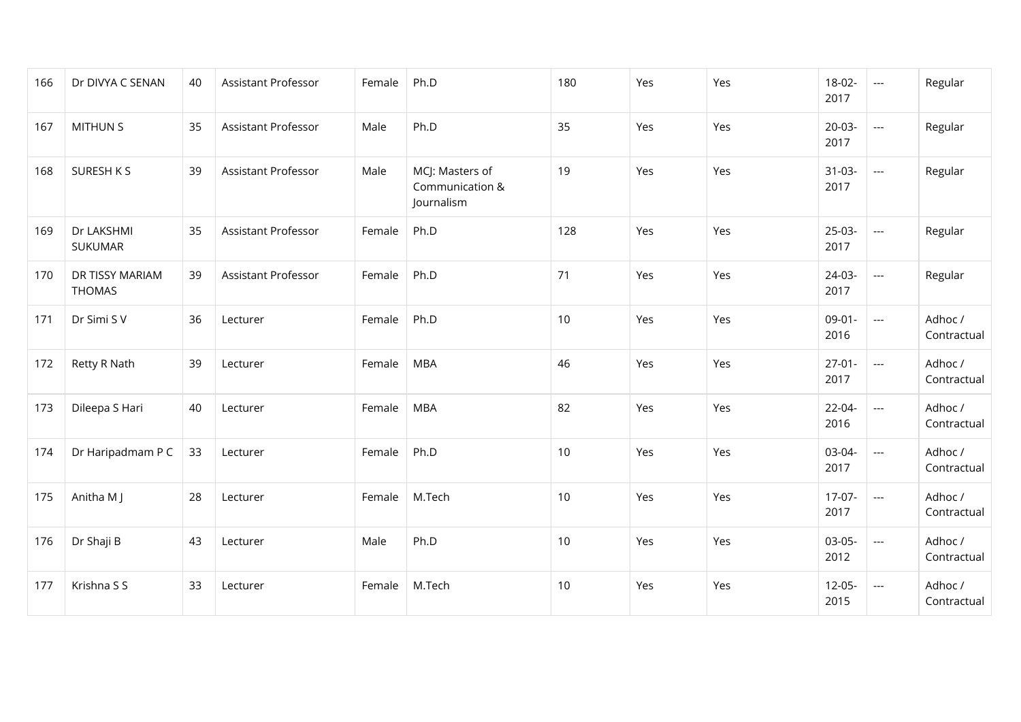| 166 | Dr DIVYA C SENAN                 | 40 | <b>Assistant Professor</b> | Female | Ph.D                                             | 180 | Yes | Yes | 18-02-<br>2017      | $\hspace{0.05cm} \ldots$ | Regular                |
|-----|----------------------------------|----|----------------------------|--------|--------------------------------------------------|-----|-----|-----|---------------------|--------------------------|------------------------|
| 167 | <b>MITHUN S</b>                  | 35 | <b>Assistant Professor</b> | Male   | Ph.D                                             | 35  | Yes | Yes | $20-03-$<br>2017    | ---                      | Regular                |
| 168 | SURESH K S                       | 39 | <b>Assistant Professor</b> | Male   | MCJ: Masters of<br>Communication &<br>Journalism | 19  | Yes | Yes | $31-03-$<br>2017    | $\overline{\phantom{a}}$ | Regular                |
| 169 | Dr LAKSHMI<br><b>SUKUMAR</b>     | 35 | <b>Assistant Professor</b> | Female | Ph.D                                             | 128 | Yes | Yes | 25-03-<br>2017      | $\overline{\phantom{a}}$ | Regular                |
| 170 | DR TISSY MARIAM<br><b>THOMAS</b> | 39 | <b>Assistant Professor</b> | Female | Ph.D                                             | 71  | Yes | Yes | 24-03-<br>2017      | $---$                    | Regular                |
| 171 | Dr Simi S V                      | 36 | Lecturer                   | Female | Ph.D                                             | 10  | Yes | Yes | $09 - 01 -$<br>2016 | ---                      | Adhoc /<br>Contractual |
| 172 | Retty R Nath                     | 39 | Lecturer                   | Female | <b>MBA</b>                                       | 46  | Yes | Yes | $27-01-$<br>2017    | $---$                    | Adhoc /<br>Contractual |
| 173 | Dileepa S Hari                   | 40 | Lecturer                   | Female | <b>MBA</b>                                       | 82  | Yes | Yes | 22-04-<br>2016      | $\cdots$                 | Adhoc /<br>Contractual |
| 174 | Dr Haripadmam P C                | 33 | Lecturer                   | Female | Ph.D                                             | 10  | Yes | Yes | 03-04-<br>2017      | $---$                    | Adhoc /<br>Contractual |
| 175 | Anitha M J                       | 28 | Lecturer                   | Female | M.Tech                                           | 10  | Yes | Yes | $17-07-$<br>2017    | $---$                    | Adhoc /<br>Contractual |
| 176 | Dr Shaji B                       | 43 | Lecturer                   | Male   | Ph.D                                             | 10  | Yes | Yes | 03-05-<br>2012      | ---                      | Adhoc /<br>Contractual |
| 177 | Krishna S S                      | 33 | Lecturer                   | Female | M.Tech                                           | 10  | Yes | Yes | $12-05-$<br>2015    | $\hspace{0.05cm} \ldots$ | Adhoc /<br>Contractual |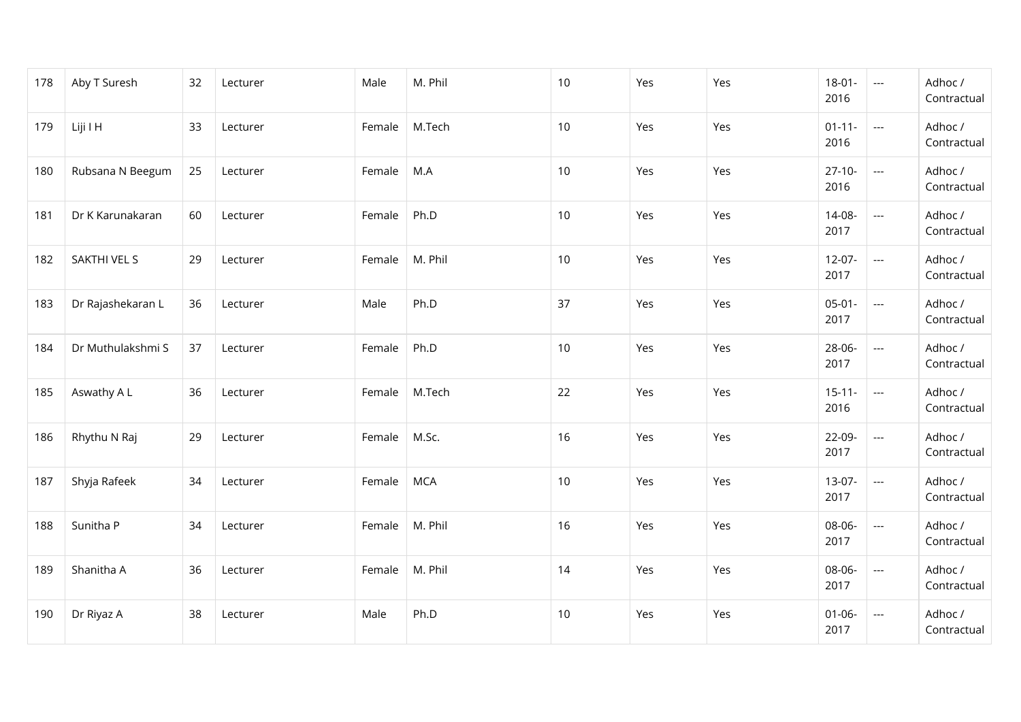| 178 | Aby T Suresh      | 32 | Lecturer | Male   | M. Phil    | $10$ | Yes | Yes | $18 - 01 -$<br>2016 | $\hspace{0.05cm} \ldots$ | Adhoc /<br>Contractual |
|-----|-------------------|----|----------|--------|------------|------|-----|-----|---------------------|--------------------------|------------------------|
| 179 | Liji I H          | 33 | Lecturer | Female | M.Tech     | 10   | Yes | Yes | $01 - 11 -$<br>2016 | ---                      | Adhoc /<br>Contractual |
| 180 | Rubsana N Beegum  | 25 | Lecturer | Female | M.A        | 10   | Yes | Yes | $27-10-$<br>2016    | $\hspace{0.05cm} \ldots$ | Adhoc /<br>Contractual |
| 181 | Dr K Karunakaran  | 60 | Lecturer | Female | Ph.D       | 10   | Yes | Yes | 14-08-<br>2017      | $\overline{\phantom{a}}$ | Adhoc /<br>Contractual |
| 182 | SAKTHI VEL S      | 29 | Lecturer | Female | M. Phil    | 10   | Yes | Yes | $12-07-$<br>2017    | ---                      | Adhoc /<br>Contractual |
| 183 | Dr Rajashekaran L | 36 | Lecturer | Male   | Ph.D       | 37   | Yes | Yes | $05-01-$<br>2017    | ---                      | Adhoc /<br>Contractual |
| 184 | Dr Muthulakshmi S | 37 | Lecturer | Female | Ph.D       | 10   | Yes | Yes | 28-06-<br>2017      | ---                      | Adhoc /<br>Contractual |
| 185 | Aswathy A L       | 36 | Lecturer | Female | M.Tech     | 22   | Yes | Yes | $15 - 11 -$<br>2016 | $\overline{\phantom{a}}$ | Adhoc /<br>Contractual |
| 186 | Rhythu N Raj      | 29 | Lecturer | Female | M.Sc.      | 16   | Yes | Yes | 22-09-<br>2017      | ---                      | Adhoc /<br>Contractual |
| 187 | Shyja Rafeek      | 34 | Lecturer | Female | <b>MCA</b> | 10   | Yes | Yes | 13-07-<br>2017      | $\hspace{0.05cm}\ldots$  | Adhoc /<br>Contractual |
| 188 | Sunitha P         | 34 | Lecturer | Female | M. Phil    | 16   | Yes | Yes | 08-06-<br>2017      | $\overline{\phantom{a}}$ | Adhoc /<br>Contractual |
| 189 | Shanitha A        | 36 | Lecturer | Female | M. Phil    | 14   | Yes | Yes | 08-06-<br>2017      | $\overline{\phantom{a}}$ | Adhoc /<br>Contractual |
| 190 | Dr Riyaz A        | 38 | Lecturer | Male   | Ph.D       | 10   | Yes | Yes | $01 - 06 -$<br>2017 | ---                      | Adhoc /<br>Contractual |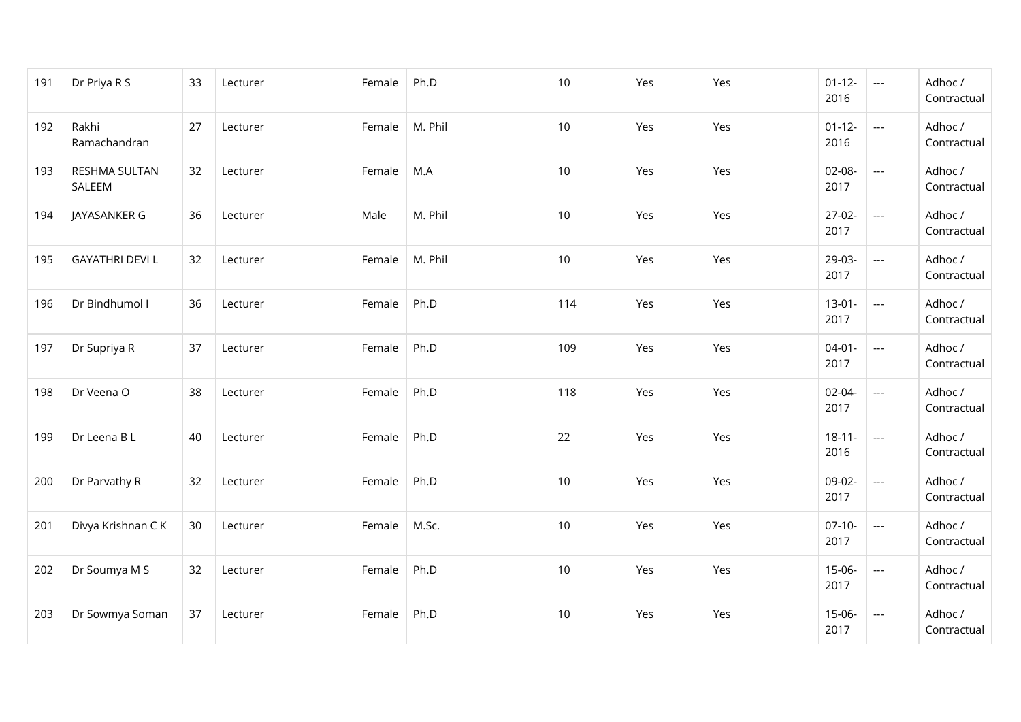| 191 | Dr Priya R S            | 33 | Lecturer | Female | Ph.D    | 10   | Yes | Yes | $01 - 12 -$<br>2016 | $\hspace{0.05cm} \ldots$ | Adhoc /<br>Contractual |
|-----|-------------------------|----|----------|--------|---------|------|-----|-----|---------------------|--------------------------|------------------------|
| 192 | Rakhi<br>Ramachandran   | 27 | Lecturer | Female | M. Phil | 10   | Yes | Yes | $01 - 12 -$<br>2016 | $\overline{\phantom{a}}$ | Adhoc /<br>Contractual |
| 193 | RESHMA SULTAN<br>SALEEM | 32 | Lecturer | Female | M.A     | 10   | Yes | Yes | 02-08-<br>2017      | $\hspace{0.05cm}\ldots$  | Adhoc /<br>Contractual |
| 194 | JAYASANKER G            | 36 | Lecturer | Male   | M. Phil | 10   | Yes | Yes | $27-02-$<br>2017    | $\overline{\phantom{a}}$ | Adhoc /<br>Contractual |
| 195 | <b>GAYATHRI DEVI L</b>  | 32 | Lecturer | Female | M. Phil | 10   | Yes | Yes | 29-03-<br>2017      | $\overline{\phantom{a}}$ | Adhoc /<br>Contractual |
| 196 | Dr Bindhumol I          | 36 | Lecturer | Female | Ph.D    | 114  | Yes | Yes | $13 - 01 -$<br>2017 | ---                      | Adhoc /<br>Contractual |
| 197 | Dr Supriya R            | 37 | Lecturer | Female | Ph.D    | 109  | Yes | Yes | $04 - 01 -$<br>2017 | ---                      | Adhoc /<br>Contractual |
| 198 | Dr Veena O              | 38 | Lecturer | Female | Ph.D    | 118  | Yes | Yes | $02 - 04 -$<br>2017 | ---                      | Adhoc /<br>Contractual |
| 199 | Dr Leena B L            | 40 | Lecturer | Female | Ph.D    | 22   | Yes | Yes | $18 - 11 -$<br>2016 | $\overline{\phantom{a}}$ | Adhoc /<br>Contractual |
| 200 | Dr Parvathy R           | 32 | Lecturer | Female | Ph.D    | 10   | Yes | Yes | 09-02-<br>2017      | ---                      | Adhoc /<br>Contractual |
| 201 | Divya Krishnan C K      | 30 | Lecturer | Female | M.Sc.   | 10   | Yes | Yes | $07-10-$<br>2017    | $\overline{\phantom{a}}$ | Adhoc /<br>Contractual |
| 202 | Dr Soumya M S           | 32 | Lecturer | Female | Ph.D    | $10$ | Yes | Yes | 15-06-<br>2017      | $\overline{\phantom{a}}$ | Adhoc /<br>Contractual |
| 203 | Dr Sowmya Soman         | 37 | Lecturer | Female | Ph.D    | 10   | Yes | Yes | 15-06-<br>2017      | $\overline{\phantom{a}}$ | Adhoc /<br>Contractual |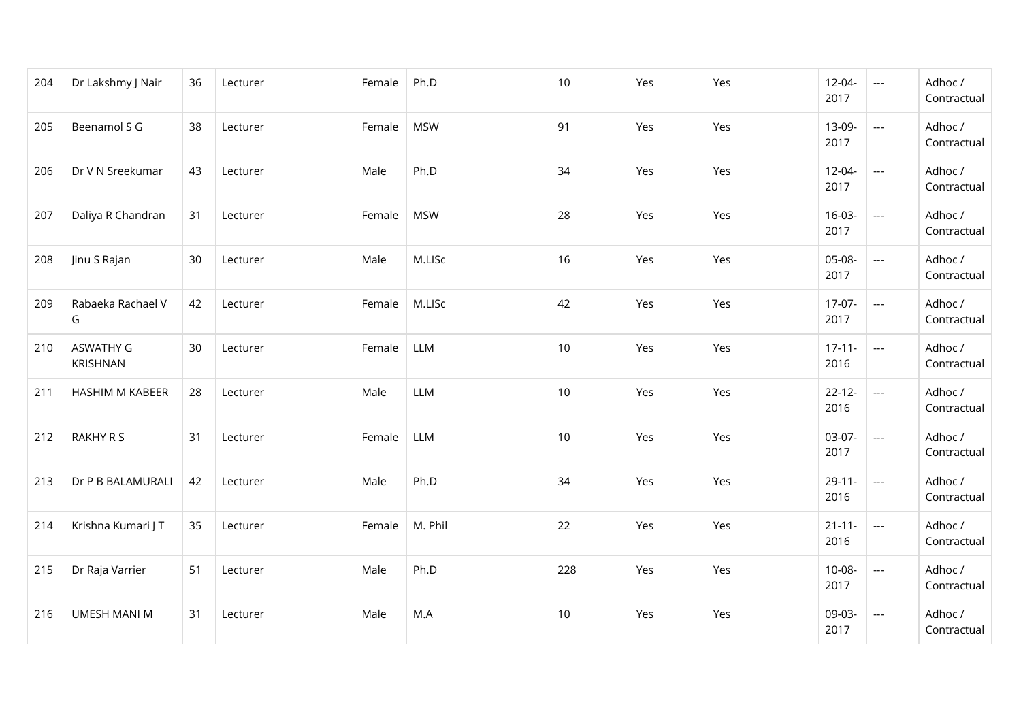| 204 | Dr Lakshmy J Nair            | 36 | Lecturer | Female | Ph.D       | 10  | Yes | Yes | $12 - 04 -$<br>2017 | $\hspace{0.05cm} \ldots$ | Adhoc /<br>Contractual |
|-----|------------------------------|----|----------|--------|------------|-----|-----|-----|---------------------|--------------------------|------------------------|
| 205 | Beenamol S G                 | 38 | Lecturer | Female | <b>MSW</b> | 91  | Yes | Yes | 13-09-<br>2017      | ---                      | Adhoc /<br>Contractual |
| 206 | Dr V N Sreekumar             | 43 | Lecturer | Male   | Ph.D       | 34  | Yes | Yes | 12-04-<br>2017      | $\hspace{0.05cm}\ldots$  | Adhoc /<br>Contractual |
| 207 | Daliya R Chandran            | 31 | Lecturer | Female | <b>MSW</b> | 28  | Yes | Yes | $16-03-$<br>2017    | $\hspace{0.05cm} \ldots$ | Adhoc /<br>Contractual |
| 208 | Jinu S Rajan                 | 30 | Lecturer | Male   | M.LISc     | 16  | Yes | Yes | 05-08-<br>2017      | $\overline{\phantom{a}}$ | Adhoc /<br>Contractual |
| 209 | Rabaeka Rachael V<br>G       | 42 | Lecturer | Female | M.LISc     | 42  | Yes | Yes | $17-07-$<br>2017    | $---$                    | Adhoc /<br>Contractual |
| 210 | <b>ASWATHY G</b><br>KRISHNAN | 30 | Lecturer | Female | LLM        | 10  | Yes | Yes | $17 - 11 -$<br>2016 | ---                      | Adhoc /<br>Contractual |
| 211 | <b>HASHIM M KABEER</b>       | 28 | Lecturer | Male   | LLM        | 10  | Yes | Yes | $22 - 12 -$<br>2016 | ---                      | Adhoc /<br>Contractual |
| 212 | RAKHY R S                    | 31 | Lecturer | Female | LLM        | 10  | Yes | Yes | $03-07-$<br>2017    | $\overline{\phantom{a}}$ | Adhoc /<br>Contractual |
| 213 | Dr P B BALAMURALI            | 42 | Lecturer | Male   | Ph.D       | 34  | Yes | Yes | $29 - 11 -$<br>2016 | ---                      | Adhoc /<br>Contractual |
| 214 | Krishna Kumari J T           | 35 | Lecturer | Female | M. Phil    | 22  | Yes | Yes | $21 - 11 -$<br>2016 | $\hspace{0.05cm} \ldots$ | Adhoc /<br>Contractual |
| 215 | Dr Raja Varrier              | 51 | Lecturer | Male   | Ph.D       | 228 | Yes | Yes | $10-08-$<br>2017    | $\overline{a}$           | Adhoc /<br>Contractual |
| 216 | <b>UMESH MANI M</b>          | 31 | Lecturer | Male   | M.A        | 10  | Yes | Yes | 09-03-<br>2017      | ---                      | Adhoc /<br>Contractual |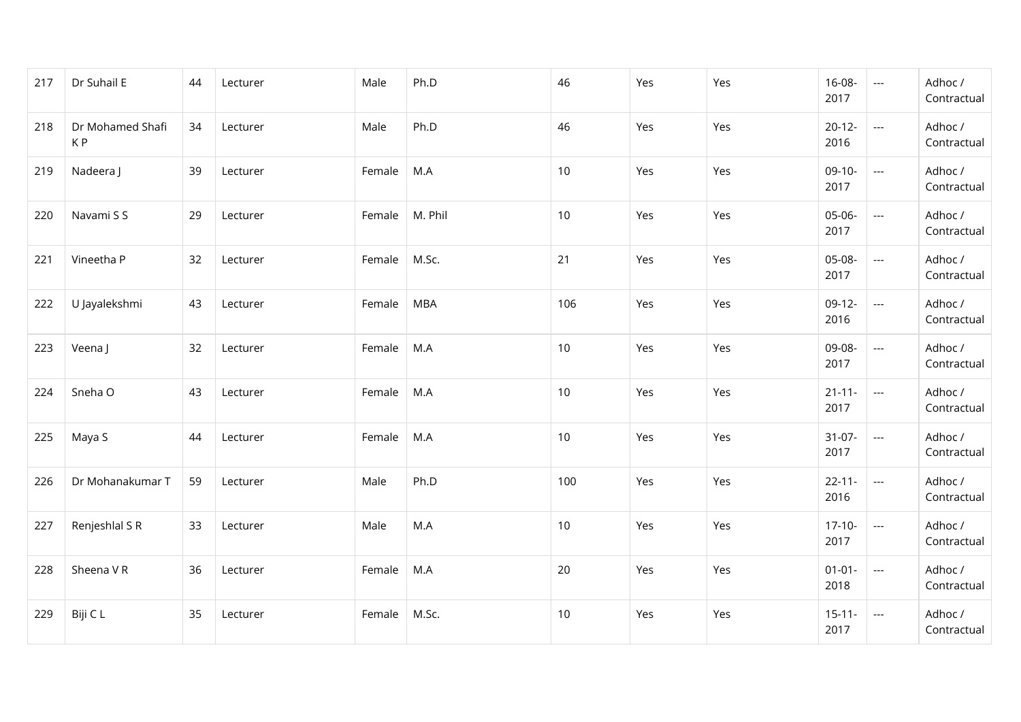| 217 | Dr Suhail E            | 44 | Lecturer | Male       | Ph.D    | 46  | Yes | Yes | 16-08-<br>2017      | $\hspace{0.05cm} \ldots$ | Adhoc /<br>Contractual |
|-----|------------------------|----|----------|------------|---------|-----|-----|-----|---------------------|--------------------------|------------------------|
| 218 | Dr Mohamed Shafi<br>KP | 34 | Lecturer | Male       | Ph.D    | 46  | Yes | Yes | $20-12-$<br>2016    | ---                      | Adhoc /<br>Contractual |
| 219 | Nadeera J              | 39 | Lecturer | Female     | M.A     | 10  | Yes | Yes | $09-10-$<br>2017    | $\hspace{0.05cm}\ldots$  | Adhoc /<br>Contractual |
| 220 | Navami S S             | 29 | Lecturer | Female     | M. Phil | 10  | Yes | Yes | 05-06-<br>2017      | ---                      | Adhoc /<br>Contractual |
| 221 | Vineetha P             | 32 | Lecturer | Female     | M.Sc.   | 21  | Yes | Yes | 05-08-<br>2017      | ---                      | Adhoc /<br>Contractual |
| 222 | U Jayalekshmi          | 43 | Lecturer | Female     | MBA     | 106 | Yes | Yes | $09-12-$<br>2016    | ---                      | Adhoc /<br>Contractual |
| 223 | Veena J                | 32 | Lecturer | Female     | M.A     | 10  | Yes | Yes | 09-08-<br>2017      | $\overline{\phantom{a}}$ | Adhoc /<br>Contractual |
| 224 | Sneha O                | 43 | Lecturer | Female M.A |         | 10  | Yes | Yes | $21 - 11 -$<br>2017 | $\hspace{0.05cm} \ldots$ | Adhoc /<br>Contractual |
| 225 | Maya S                 | 44 | Lecturer | Female     | M.A     | 10  | Yes | Yes | $31-07-$<br>2017    | $\scriptstyle \cdots$    | Adhoc /<br>Contractual |
| 226 | Dr Mohanakumar T       | 59 | Lecturer | Male       | Ph.D    | 100 | Yes | Yes | $22 - 11 -$<br>2016 | $---$                    | Adhoc /<br>Contractual |
| 227 | Renjeshlal S R         | 33 | Lecturer | Male       | M.A     | 10  | Yes | Yes | $17-10-$<br>2017    | $\hspace{0.05cm} \ldots$ | Adhoc /<br>Contractual |
| 228 | Sheena VR              | 36 | Lecturer | Female     | M.A     | 20  | Yes | Yes | $01 - 01 -$<br>2018 | $\hspace{0.05cm} \ldots$ | Adhoc /<br>Contractual |
| 229 | Biji C L               | 35 | Lecturer | Female     | M.Sc.   | 10  | Yes | Yes | $15 - 11 -$<br>2017 | $\hspace{0.05cm} \ldots$ | Adhoc /<br>Contractual |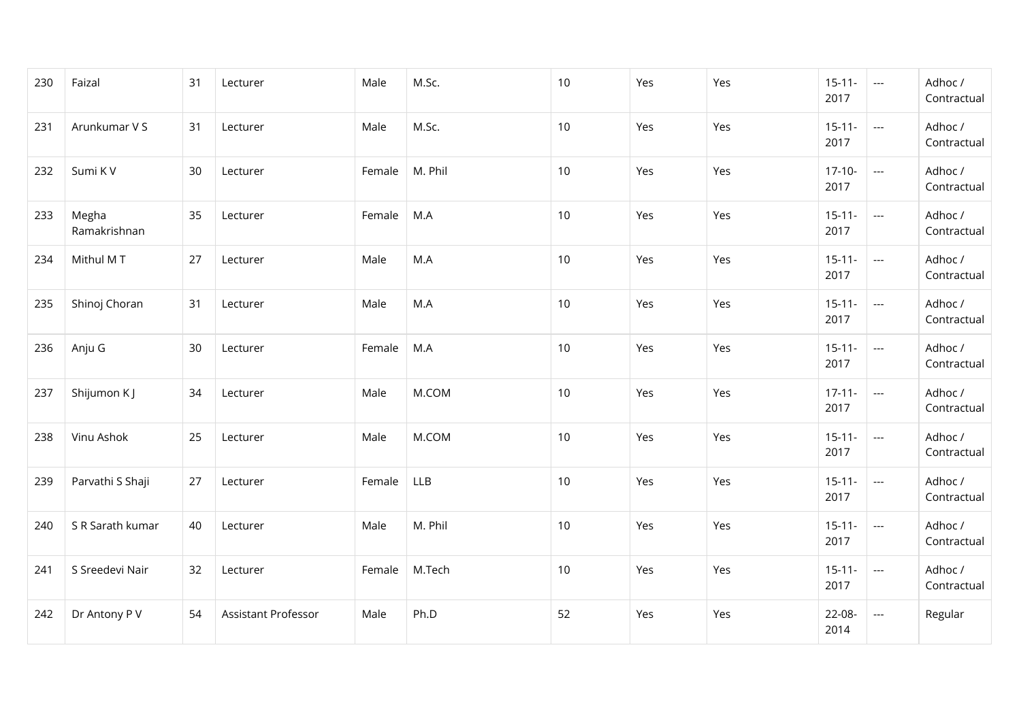| 230 | Faizal                | 31 | Lecturer            | Male   | M.Sc.      | 10 | Yes | Yes | $15-11-$<br>2017    | $\sim$                   | Adhoc /<br>Contractual |
|-----|-----------------------|----|---------------------|--------|------------|----|-----|-----|---------------------|--------------------------|------------------------|
| 231 | Arunkumar V S         | 31 | Lecturer            | Male   | M.Sc.      | 10 | Yes | Yes | $15 - 11 -$<br>2017 | $---$                    | Adhoc /<br>Contractual |
| 232 | Sumi KV               | 30 | Lecturer            | Female | M. Phil    | 10 | Yes | Yes | $17-10-$<br>2017    | $\sim$                   | Adhoc /<br>Contractual |
| 233 | Megha<br>Ramakrishnan | 35 | Lecturer            | Female | M.A        | 10 | Yes | Yes | $15 - 11 -$<br>2017 | $\sim$                   | Adhoc /<br>Contractual |
| 234 | Mithul MT             | 27 | Lecturer            | Male   | M.A        | 10 | Yes | Yes | $15 - 11 -$<br>2017 | $\sim$                   | Adhoc /<br>Contractual |
| 235 | Shinoj Choran         | 31 | Lecturer            | Male   | M.A        | 10 | Yes | Yes | $15 - 11 -$<br>2017 | $\overline{a}$           | Adhoc /<br>Contractual |
| 236 | Anju G                | 30 | Lecturer            | Female | M.A        | 10 | Yes | Yes | $15 - 11 -$<br>2017 | $\hspace{0.05cm} \ldots$ | Adhoc /<br>Contractual |
| 237 | Shijumon KJ           | 34 | Lecturer            | Male   | M.COM      | 10 | Yes | Yes | $17 - 11 -$<br>2017 | $\sim$                   | Adhoc /<br>Contractual |
| 238 | Vinu Ashok            | 25 | Lecturer            | Male   | M.COM      | 10 | Yes | Yes | $15 - 11 -$<br>2017 | $\sim$                   | Adhoc /<br>Contractual |
| 239 | Parvathi S Shaji      | 27 | Lecturer            | Female | <b>LLB</b> | 10 | Yes | Yes | $15 - 11 -$<br>2017 | $\hspace{0.05cm} \ldots$ | Adhoc /<br>Contractual |
| 240 | S R Sarath kumar      | 40 | Lecturer            | Male   | M. Phil    | 10 | Yes | Yes | $15 - 11 -$<br>2017 | $\hspace{0.05cm} \ldots$ | Adhoc /<br>Contractual |
| 241 | S Sreedevi Nair       | 32 | Lecturer            | Female | M.Tech     | 10 | Yes | Yes | $15 - 11 -$<br>2017 | $\hspace{0.05cm} \ldots$ | Adhoc /<br>Contractual |
| 242 | Dr Antony P V         | 54 | Assistant Professor | Male   | Ph.D       | 52 | Yes | Yes | 22-08-<br>2014      | $---$                    | Regular                |